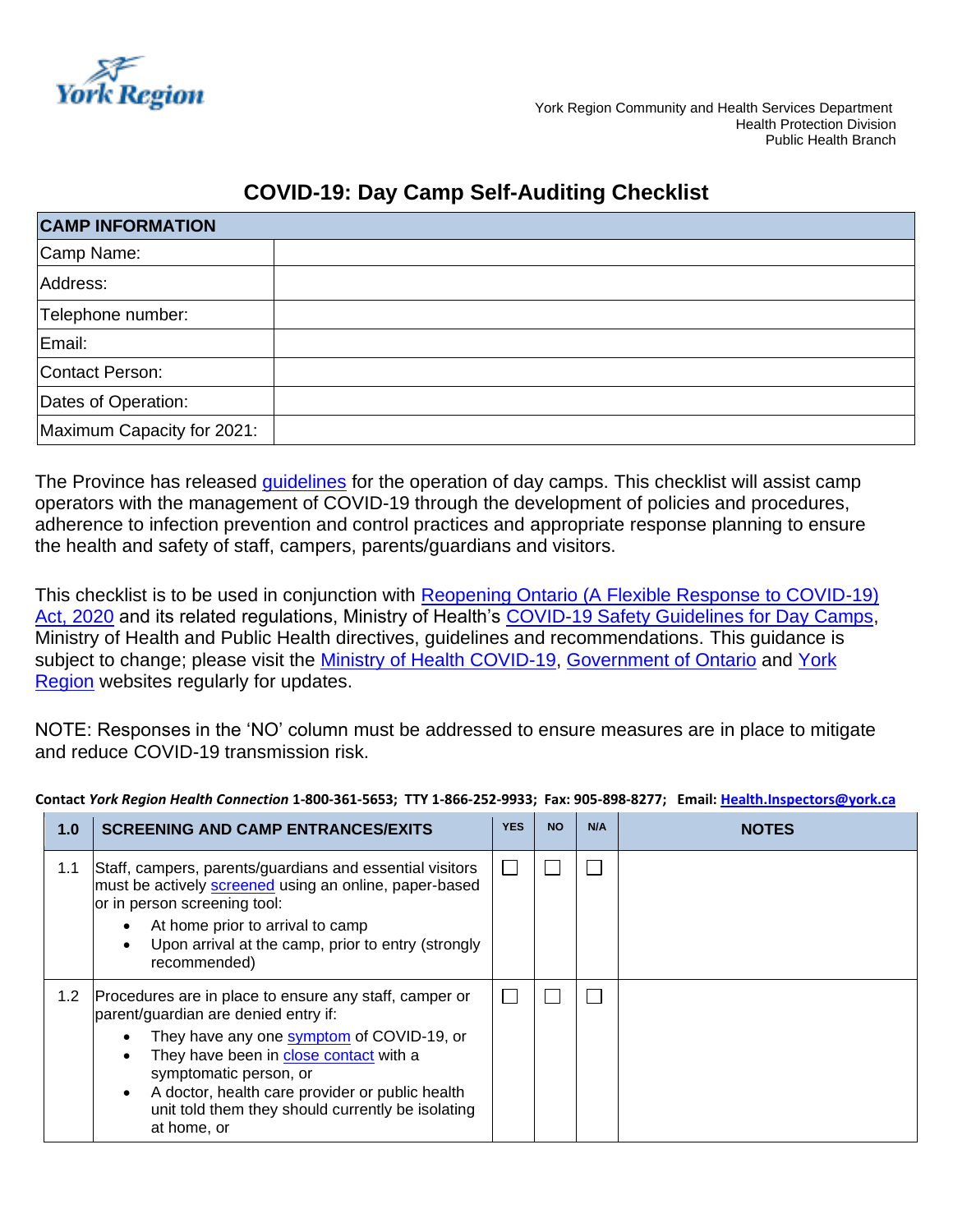

## **COVID-19: Day Camp Self-Auditing Checklist**

| <b>CAMP INFORMATION</b>    |  |
|----------------------------|--|
| Camp Name:                 |  |
| Address:                   |  |
| Telephone number:          |  |
| Email:                     |  |
| Contact Person:            |  |
| Dates of Operation:        |  |
| Maximum Capacity for 2021: |  |

The Province has released quidelines for the operation of day camps. This checklist will assist camp operators with the management of COVID-19 through the development of policies and procedures, adherence to infection prevention and control practices and appropriate response planning to ensure the health and safety of staff, campers, parents/guardians and visitors.

This checklist is to be used in conjunction with [Reopening Ontario \(A Flexible Response to COVID-19\)](https://www.ontario.ca/laws/statute/20r17)  [Act, 2020](https://www.ontario.ca/laws/statute/20r17) and its related regulations, Ministry of Health's [COVID-19 Safety Guidelines for Day Camps,](https://www.health.gov.on.ca/en/pro/programs/publichealth/coronavirus/docs/2019_summer_day_camps_guidance.pdf) Ministry of Health and Public Health directives, guidelines and recommendations. This guidance is subject to change; please visit the [Ministry of Health COVID-19,](https://www.health.gov.on.ca/en/pro/programs/publichealth/coronavirus/2019_guidance.aspx) [Government of Ontario](https://covid-19.ontario.ca/index.html) and York [Region](https://www.york.ca/wps/portal/yorkhome/health/yr/covid-19/!ut/p/z1/jY_fCoIwFMafxQeQna2l83JYuc1kgWS2mxiFNiiVEC96-iS86SLr3H3w-_4cZFCJTGMHV9vetY29jfpogpPkiRQiBaUpi4GD5oqEDNYRRoc3AF-OAzL_-GcAMx-vfhWMH5BHFmc1Mp3tr75rqhaV53ZwFx9HY7_5TEhyRkEWKuQF1kDlYgIIoYHAMSgQmoHchLvligkMKZmAmZHdfV8-t1Uua897ARbl9OA!/dz/d5/L2dBISEvZ0FBIS9nQSEh/#.Xt5Ty_lKjIU) websites regularly for updates.

NOTE: Responses in the 'NO' column must be addressed to ensure measures are in place to mitigate and reduce COVID-19 transmission risk.

|     | 1.0<br><b>SCREENING AND CAMP ENTRANCES/EXITS</b>                                                                                                                                                                                                                                              | <b>YES</b>               | <b>NO</b> | N/A | <b>NOTES</b> |
|-----|-----------------------------------------------------------------------------------------------------------------------------------------------------------------------------------------------------------------------------------------------------------------------------------------------|--------------------------|-----------|-----|--------------|
| 1.1 | Staff, campers, parents/guardians and essential visitors<br>must be actively <b>screened</b> using an online, paper-based<br>or in person screening tool:<br>At home prior to arrival to camp<br>$\bullet$<br>Upon arrival at the camp, prior to entry (strongly<br>$\bullet$<br>recommended) | $\overline{\phantom{a}}$ |           |     |              |
|     | Procedures are in place to ensure any staff, camper or<br>1.2<br>parent/guardian are denied entry if:                                                                                                                                                                                         | $\mathbf{L}$             |           |     |              |
|     | They have any one symptom of COVID-19, or<br>They have been in close contact with a<br>$\bullet$<br>symptomatic person, or<br>A doctor, health care provider or public health<br>$\bullet$<br>unit told them they should currently be isolating<br>at home, or                                |                          |           |     |              |

## **Contact** *York Region Health Connection* **1-800-361-5653; TTY 1-866-252-9933; Fax: 905-898-8277; Email: [Health.Inspectors@york.ca](mailto:Health.Inspectors@york.ca)**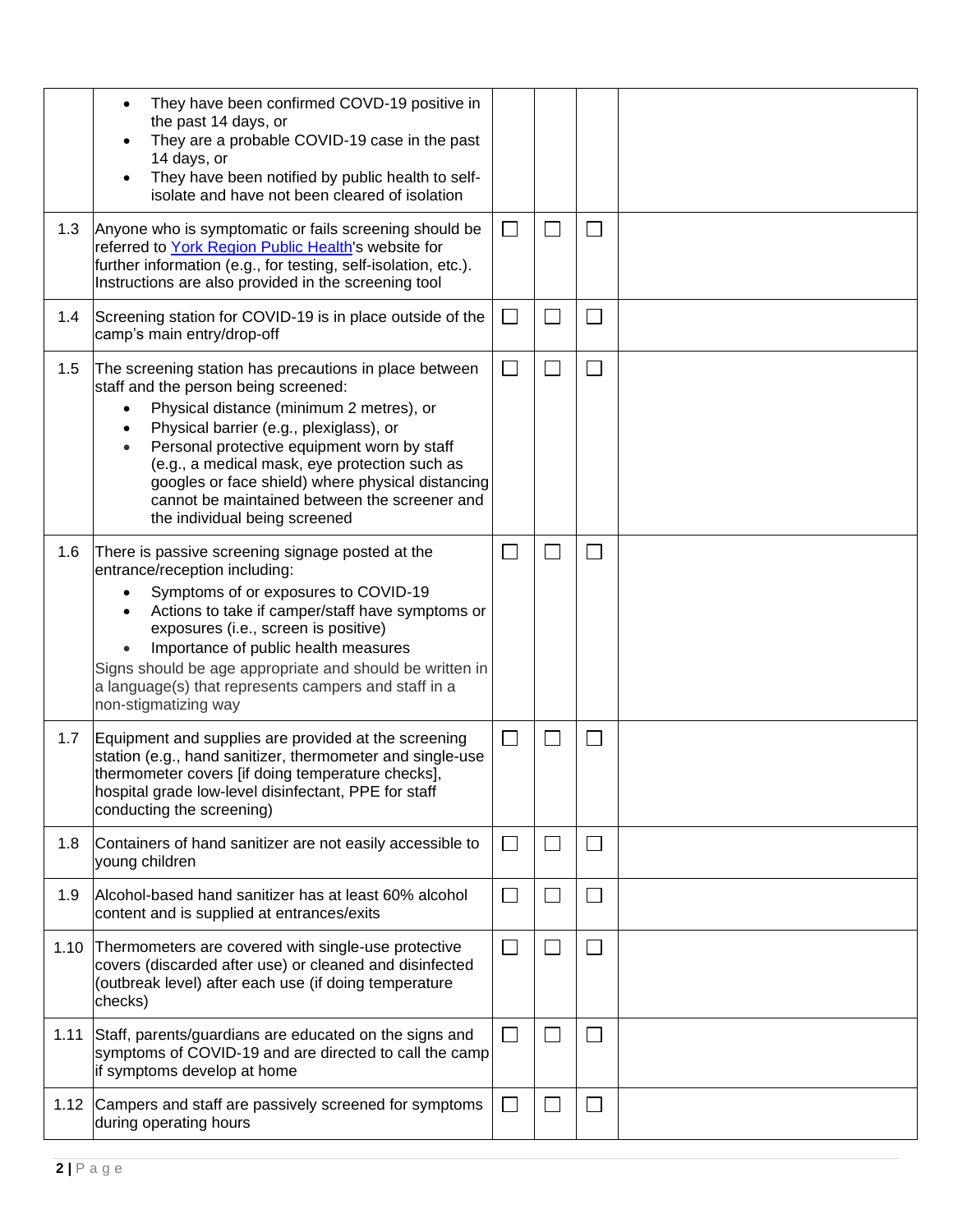|      | They have been confirmed COVD-19 positive in<br>the past 14 days, or<br>They are a probable COVID-19 case in the past<br>14 days, or<br>They have been notified by public health to self-<br>isolate and have not been cleared of isolation                                                                                                                                                                                                                         |                             |              |              |  |
|------|---------------------------------------------------------------------------------------------------------------------------------------------------------------------------------------------------------------------------------------------------------------------------------------------------------------------------------------------------------------------------------------------------------------------------------------------------------------------|-----------------------------|--------------|--------------|--|
| 1.3  | Anyone who is symptomatic or fails screening should be<br>referred to York Region Public Health's website for<br>further information (e.g., for testing, self-isolation, etc.).<br>Instructions are also provided in the screening tool                                                                                                                                                                                                                             | $\Box$                      | $\mathbf{L}$ |              |  |
| 1.4  | Screening station for COVID-19 is in place outside of the<br>camp's main entry/drop-off                                                                                                                                                                                                                                                                                                                                                                             | $\mathcal{L}_{\mathcal{A}}$ |              | a l          |  |
| 1.5  | The screening station has precautions in place between<br>staff and the person being screened:<br>Physical distance (minimum 2 metres), or<br>$\bullet$<br>Physical barrier (e.g., plexiglass), or<br>$\bullet$<br>Personal protective equipment worn by staff<br>$\bullet$<br>(e.g., a medical mask, eye protection such as<br>googles or face shield) where physical distancing<br>cannot be maintained between the screener and<br>the individual being screened | $\Box$                      | $\Box$       | $\mathbf{L}$ |  |
| 1.6  | There is passive screening signage posted at the<br>entrance/reception including:<br>Symptoms of or exposures to COVID-19<br>Actions to take if camper/staff have symptoms or<br>exposures (i.e., screen is positive)<br>Importance of public health measures<br>Signs should be age appropriate and should be written in<br>a language(s) that represents campers and staff in a<br>non-stigmatizing way                                                           | $\mathbb{R}^n$              |              | ப            |  |
| 1.7  | Equipment and supplies are provided at the screening<br>station (e.g., hand sanitizer, thermometer and single-use<br>thermometer covers [if doing temperature checks],<br>hospital grade low-level disinfectant, PPE for staff<br>conducting the screening)                                                                                                                                                                                                         | $\overline{\phantom{0}}$    |              |              |  |
| 1.8  | Containers of hand sanitizer are not easily accessible to<br>young children                                                                                                                                                                                                                                                                                                                                                                                         | $\Box$                      | $\Box$       | $\mathsf{L}$ |  |
| 1.9  | Alcohol-based hand sanitizer has at least 60% alcohol<br>content and is supplied at entrances/exits                                                                                                                                                                                                                                                                                                                                                                 | $\Box$                      | M            | $\Box$       |  |
| 1.10 | Thermometers are covered with single-use protective<br>covers (discarded after use) or cleaned and disinfected<br>(outbreak level) after each use (if doing temperature<br>checks)                                                                                                                                                                                                                                                                                  | $\Box$                      |              |              |  |
|      | 1.11 Staff, parents/guardians are educated on the signs and<br>symptoms of COVID-19 and are directed to call the camp<br>if symptoms develop at home                                                                                                                                                                                                                                                                                                                | $\Box$                      | $\mathsf{L}$ | $\Box$       |  |
|      | 1.12 Campers and staff are passively screened for symptoms<br>during operating hours                                                                                                                                                                                                                                                                                                                                                                                | $\Box$                      | $\Box$       | ⊔            |  |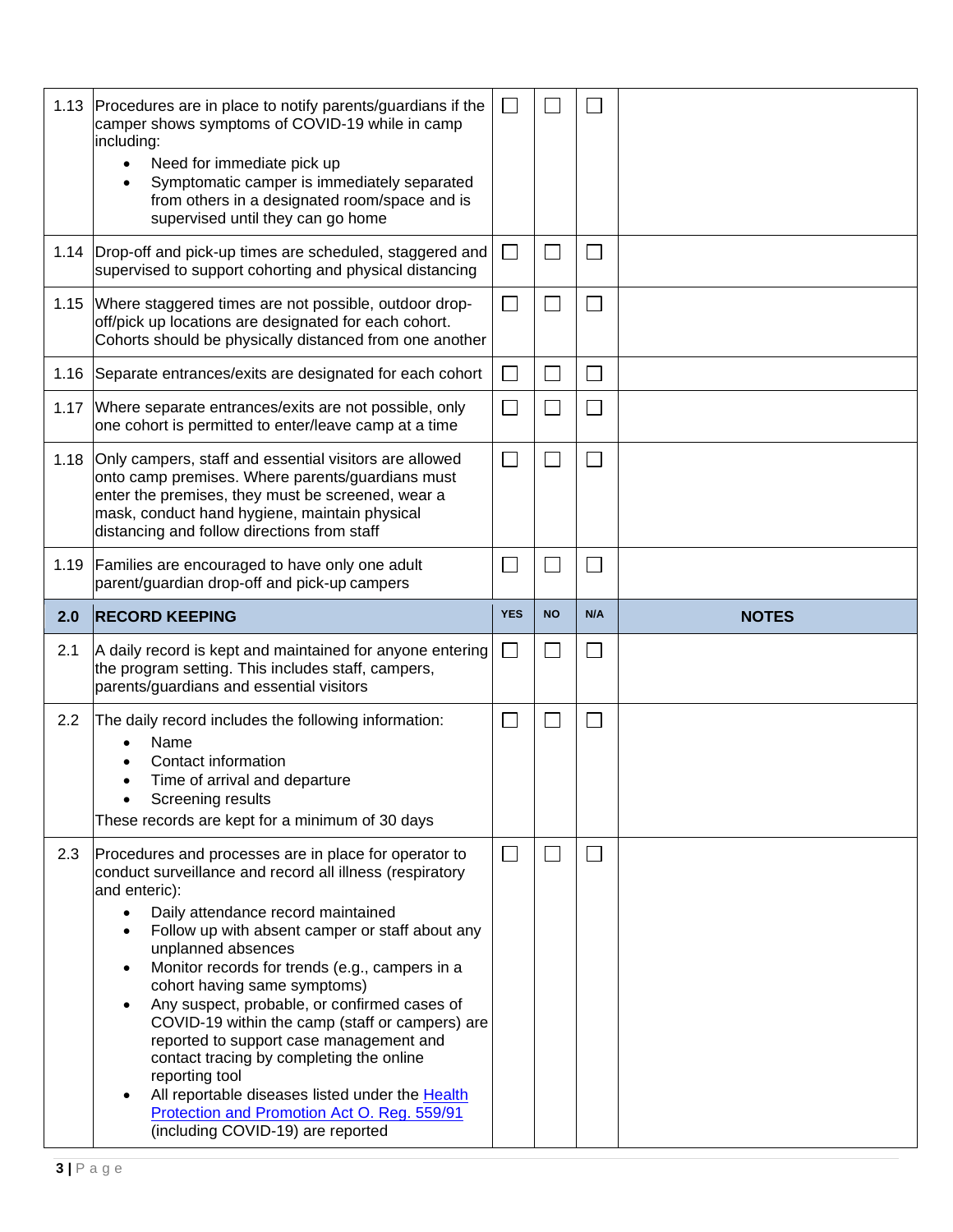| 1.13 | Procedures are in place to notify parents/guardians if the<br>camper shows symptoms of COVID-19 while in camp<br>including:<br>Need for immediate pick up<br>Symptomatic camper is immediately separated<br>from others in a designated room/space and is<br>supervised until they can go home | $\mathcal{L}_{\mathcal{A}}$ |           |        |              |
|------|------------------------------------------------------------------------------------------------------------------------------------------------------------------------------------------------------------------------------------------------------------------------------------------------|-----------------------------|-----------|--------|--------------|
|      | 1.14 Drop-off and pick-up times are scheduled, staggered and<br>supervised to support cohorting and physical distancing                                                                                                                                                                        | $\overline{\phantom{a}}$    |           | $\sim$ |              |
| 1.15 | Where staggered times are not possible, outdoor drop-<br>off/pick up locations are designated for each cohort.<br>Cohorts should be physically distanced from one another                                                                                                                      | $\mathcal{L}_{\mathcal{A}}$ |           |        |              |
| 1.16 | Separate entrances/exits are designated for each cohort                                                                                                                                                                                                                                        | $\overline{\phantom{0}}$    |           |        |              |
| 1.17 | Where separate entrances/exits are not possible, only<br>one cohort is permitted to enter/leave camp at a time                                                                                                                                                                                 |                             |           |        |              |
|      | 1.18 Only campers, staff and essential visitors are allowed<br>onto camp premises. Where parents/guardians must<br>enter the premises, they must be screened, wear a<br>mask, conduct hand hygiene, maintain physical<br>distancing and follow directions from staff                           | $\Box$                      |           |        |              |
| 1.19 | Families are encouraged to have only one adult<br>parent/guardian drop-off and pick-up campers                                                                                                                                                                                                 |                             |           |        |              |
| 2.0  | <b>RECORD KEEPING</b>                                                                                                                                                                                                                                                                          | <b>YES</b>                  | <b>NO</b> | N/A    | <b>NOTES</b> |
|      |                                                                                                                                                                                                                                                                                                |                             |           |        |              |
| 2.1  | A daily record is kept and maintained for anyone entering<br>the program setting. This includes staff, campers,<br>parents/guardians and essential visitors                                                                                                                                    | $\mathcal{L}_{\mathcal{A}}$ |           |        |              |
| 2.2  | The daily record includes the following information:<br>Name<br>Contact information<br>Time of arrival and departure<br>Screening results<br>These records are kept for a minimum of 30 days                                                                                                   | $\Box$                      |           |        |              |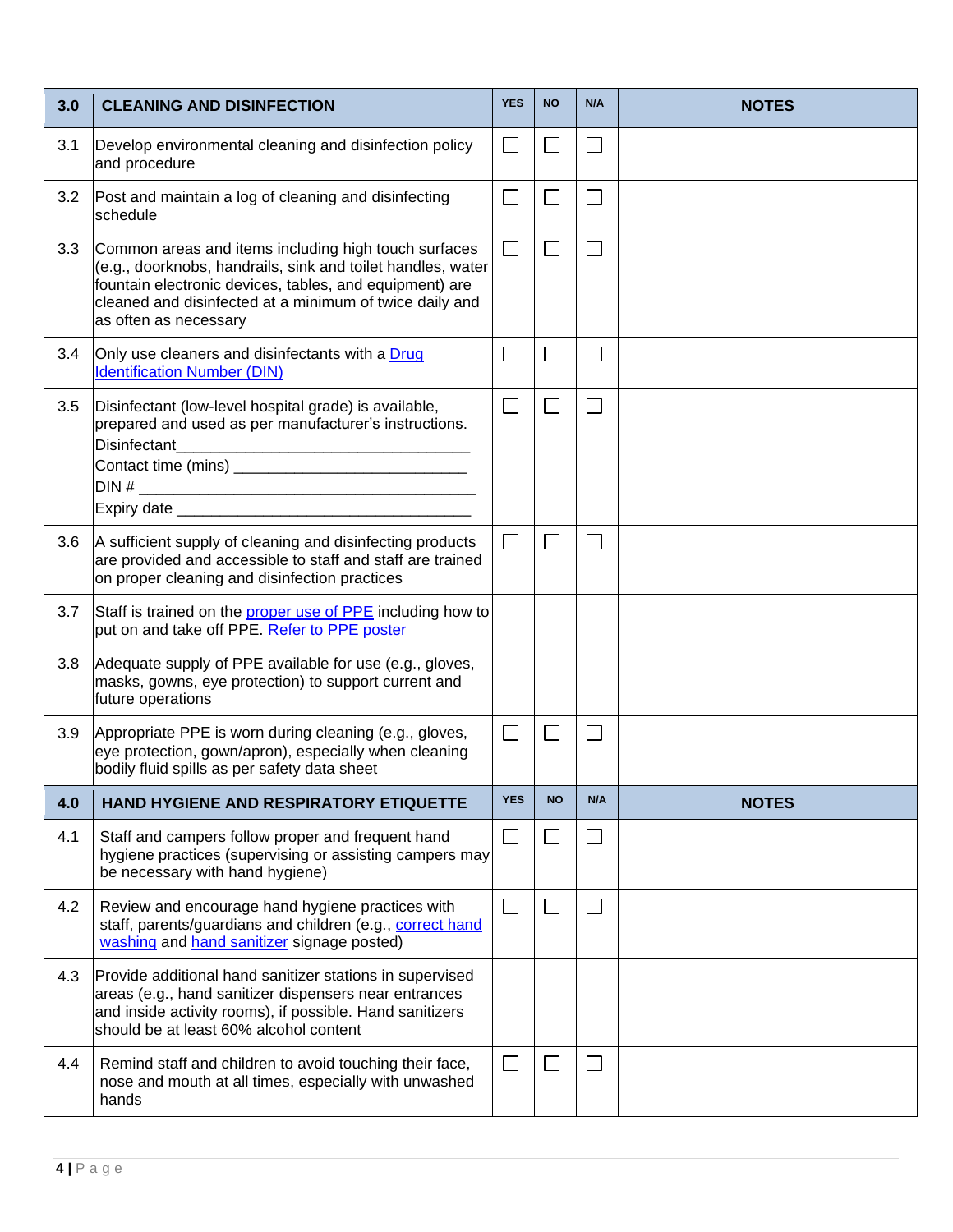| 3.0 | <b>CLEANING AND DISINFECTION</b>                                                                                                                                                                                                                                   | <b>YES</b>               | <b>NO</b>    | N/A               | <b>NOTES</b> |
|-----|--------------------------------------------------------------------------------------------------------------------------------------------------------------------------------------------------------------------------------------------------------------------|--------------------------|--------------|-------------------|--------------|
| 3.1 | Develop environmental cleaning and disinfection policy<br>and procedure                                                                                                                                                                                            | $\Box$                   | $\mathbf{L}$ |                   |              |
| 3.2 | Post and maintain a log of cleaning and disinfecting<br>schedule                                                                                                                                                                                                   | $\overline{\phantom{a}}$ | $\mathbf{L}$ |                   |              |
| 3.3 | Common areas and items including high touch surfaces<br>(e.g., doorknobs, handrails, sink and toilet handles, water<br>fountain electronic devices, tables, and equipment) are<br>cleaned and disinfected at a minimum of twice daily and<br>as often as necessary | $\Box$                   | $\Box$       | ⊔                 |              |
| 3.4 | Only use cleaners and disinfectants with a Drug<br><b>Identification Number (DIN)</b>                                                                                                                                                                              | $\Box$                   | $\Box$       | $\sim$            |              |
| 3.5 | Disinfectant (low-level hospital grade) is available,<br>prepared and used as per manufacturer's instructions.<br><b>Disinfectant</b><br><u> 1989 - Johann John Stein, marwolaethau (b. 1989)</u><br>Contact time (mins) __________________________________        | $\Box$                   | $\Box$       |                   |              |
| 3.6 | A sufficient supply of cleaning and disinfecting products<br>are provided and accessible to staff and staff are trained<br>on proper cleaning and disinfection practices                                                                                           |                          |              |                   |              |
| 3.7 | Staff is trained on the proper use of PPE including how to<br>put on and take off PPE. Refer to PPE poster                                                                                                                                                         |                          |              |                   |              |
| 3.8 | Adequate supply of PPE available for use (e.g., gloves,<br>masks, gowns, eye protection) to support current and<br>future operations                                                                                                                               |                          |              |                   |              |
| 3.9 | Appropriate PPE is worn during cleaning (e.g., gloves,<br>eye protection, gown/apron), especially when cleaning<br>bodily fluid spills as per safety data sheet                                                                                                    | $\Box$                   | $\mathbf{L}$ |                   |              |
| 4.0 | HAND HYGIENE AND RESPIRATORY ETIQUETTE                                                                                                                                                                                                                             | <b>YES</b>               | <b>NO</b>    | N/A               | <b>NOTES</b> |
| 4.1 | Staff and campers follow proper and frequent hand<br>hygiene practices (supervising or assisting campers may<br>be necessary with hand hygiene)                                                                                                                    | $\Box$                   | $\mathsf{L}$ | $\mathsf{L}$      |              |
| 4.2 | Review and encourage hand hygiene practices with<br>staff, parents/guardians and children (e.g., correct hand<br>washing and hand sanitizer signage posted)                                                                                                        | $\Box$                   | $\mathbf{L}$ |                   |              |
| 4.3 | Provide additional hand sanitizer stations in supervised<br>areas (e.g., hand sanitizer dispensers near entrances<br>and inside activity rooms), if possible. Hand sanitizers<br>should be at least 60% alcohol content                                            |                          |              |                   |              |
| 4.4 | Remind staff and children to avoid touching their face,<br>nose and mouth at all times, especially with unwashed<br>hands                                                                                                                                          | $\Box$                   | $\mathbf{L}$ | $\vert \ \ \vert$ |              |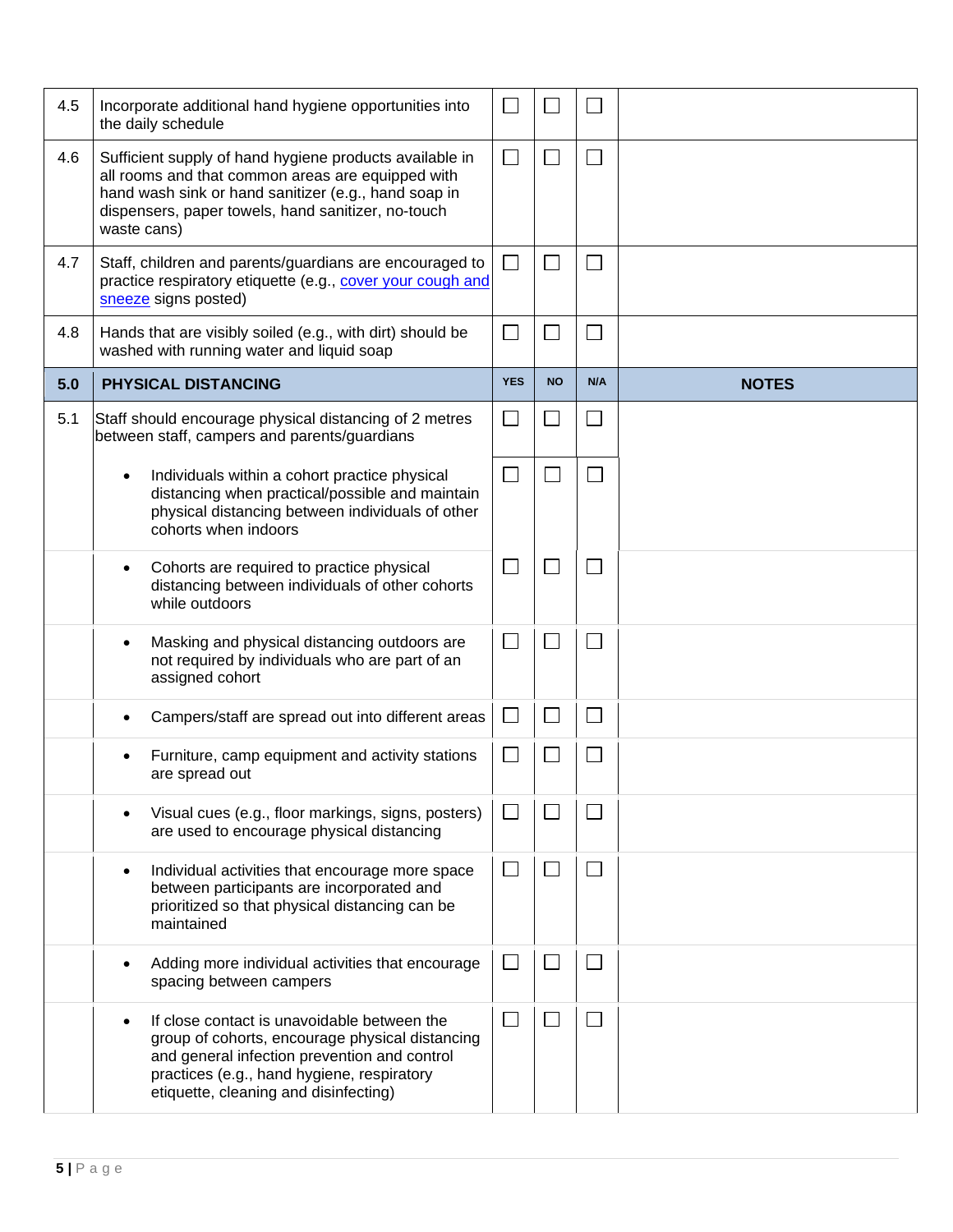| 4.5 | Incorporate additional hand hygiene opportunities into<br>the daily schedule                                                                                                                                                               |                          |              |        |              |
|-----|--------------------------------------------------------------------------------------------------------------------------------------------------------------------------------------------------------------------------------------------|--------------------------|--------------|--------|--------------|
| 4.6 | Sufficient supply of hand hygiene products available in<br>all rooms and that common areas are equipped with<br>hand wash sink or hand sanitizer (e.g., hand soap in<br>dispensers, paper towels, hand sanitizer, no-touch<br>waste cans)  | $\Box$                   |              | $\sim$ |              |
| 4.7 | Staff, children and parents/guardians are encouraged to<br>practice respiratory etiquette (e.g., cover your cough and<br>sneeze signs posted)                                                                                              | $\Box$                   |              | $\sim$ |              |
| 4.8 | Hands that are visibly soiled (e.g., with dirt) should be<br>washed with running water and liquid soap                                                                                                                                     | $\Box$                   |              | $\sim$ |              |
| 5.0 | <b>PHYSICAL DISTANCING</b>                                                                                                                                                                                                                 | <b>YES</b>               | <b>NO</b>    | N/A    | <b>NOTES</b> |
| 5.1 | Staff should encourage physical distancing of 2 metres<br>between staff, campers and parents/guardians                                                                                                                                     | $\Box$                   |              | $\sim$ |              |
|     | Individuals within a cohort practice physical<br>٠<br>distancing when practical/possible and maintain<br>physical distancing between individuals of other<br>cohorts when indoors                                                          | $\Box$                   |              |        |              |
|     | Cohorts are required to practice physical<br>٠<br>distancing between individuals of other cohorts<br>while outdoors                                                                                                                        | $\Box$                   |              |        |              |
|     | Masking and physical distancing outdoors are<br>٠<br>not required by individuals who are part of an<br>assigned cohort                                                                                                                     | $\mathbb{R}^n$           |              | $\sim$ |              |
|     | Campers/staff are spread out into different areas                                                                                                                                                                                          | $\Box$                   | $\mathbf{L}$ | $\Box$ |              |
|     | Furniture, camp equipment and activity stations<br>are spread out                                                                                                                                                                          | $\Box$                   |              |        |              |
|     | Visual cues (e.g., floor markings, signs, posters)<br>are used to encourage physical distancing                                                                                                                                            | $\Box$                   |              |        |              |
|     | Individual activities that encourage more space<br>$\bullet$<br>between participants are incorporated and<br>prioritized so that physical distancing can be<br>maintained                                                                  | $\overline{\phantom{a}}$ |              |        |              |
|     | Adding more individual activities that encourage<br>spacing between campers                                                                                                                                                                | $\mathbf{L}$             |              |        |              |
|     | If close contact is unavoidable between the<br>٠<br>group of cohorts, encourage physical distancing<br>and general infection prevention and control<br>practices (e.g., hand hygiene, respiratory<br>etiquette, cleaning and disinfecting) | $\Box$                   |              |        |              |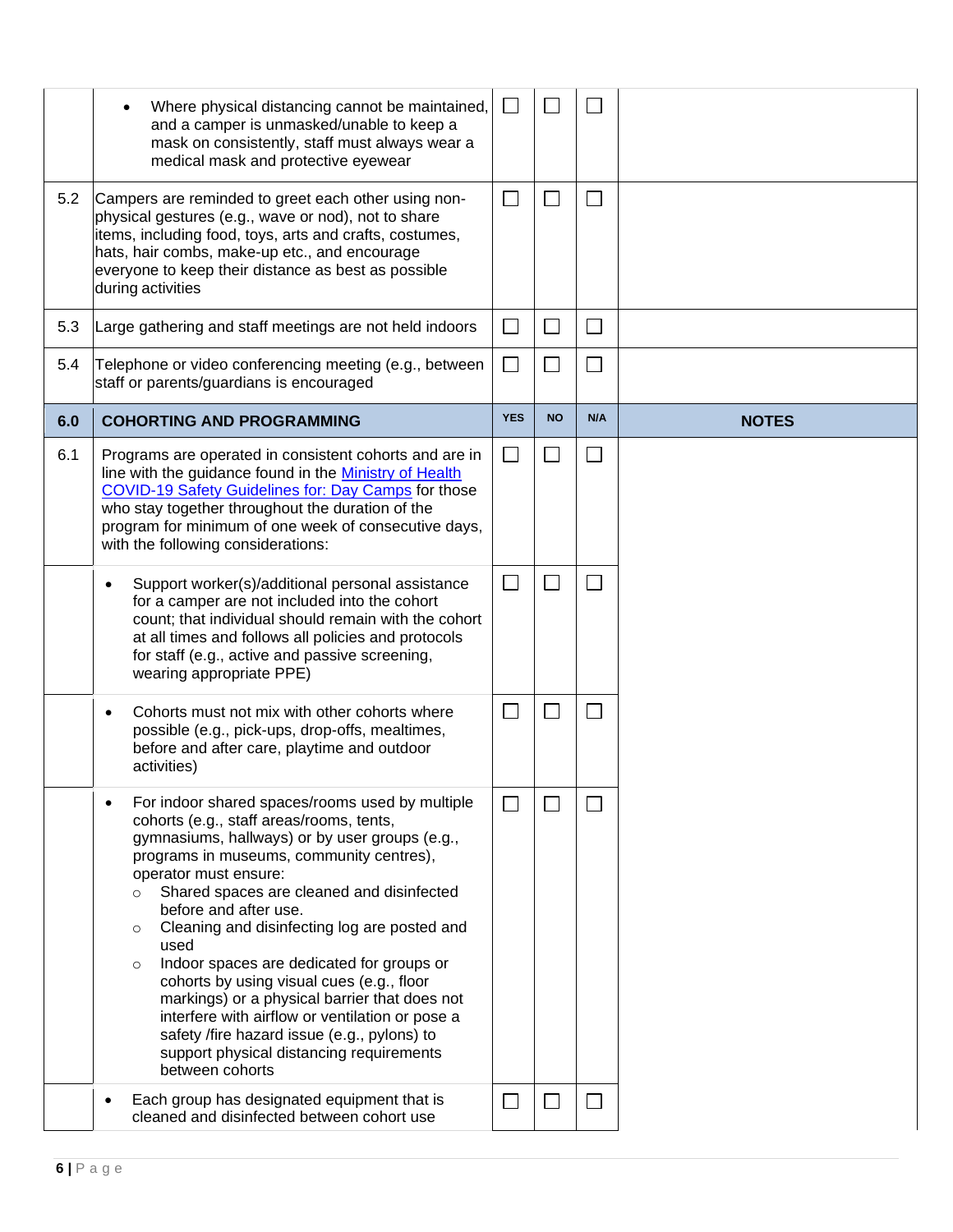|     | Where physical distancing cannot be maintained,                                                                                                                                                                                                                                                                                                                                                                                                                                                                                                                                                                                                                                               |                |           |                             |              |
|-----|-----------------------------------------------------------------------------------------------------------------------------------------------------------------------------------------------------------------------------------------------------------------------------------------------------------------------------------------------------------------------------------------------------------------------------------------------------------------------------------------------------------------------------------------------------------------------------------------------------------------------------------------------------------------------------------------------|----------------|-----------|-----------------------------|--------------|
|     | and a camper is unmasked/unable to keep a<br>mask on consistently, staff must always wear a<br>medical mask and protective eyewear                                                                                                                                                                                                                                                                                                                                                                                                                                                                                                                                                            |                |           |                             |              |
| 5.2 | Campers are reminded to greet each other using non-<br>physical gestures (e.g., wave or nod), not to share<br>items, including food, toys, arts and crafts, costumes,<br>hats, hair combs, make-up etc., and encourage<br>everyone to keep their distance as best as possible<br>during activities                                                                                                                                                                                                                                                                                                                                                                                            | $\Box$         | $\Box$    | $\mathcal{L}_{\mathcal{A}}$ |              |
| 5.3 | Large gathering and staff meetings are not held indoors                                                                                                                                                                                                                                                                                                                                                                                                                                                                                                                                                                                                                                       | $\Box$         | ⊔         | $\Box$                      |              |
| 5.4 | Telephone or video conferencing meeting (e.g., between<br>staff or parents/guardians is encouraged                                                                                                                                                                                                                                                                                                                                                                                                                                                                                                                                                                                            | $\mathcal{L}$  | $\Box$    | $\mathcal{L}_{\mathcal{A}}$ |              |
| 6.0 | <b>COHORTING AND PROGRAMMING</b>                                                                                                                                                                                                                                                                                                                                                                                                                                                                                                                                                                                                                                                              | <b>YES</b>     | <b>NO</b> | N/A                         | <b>NOTES</b> |
| 6.1 | Programs are operated in consistent cohorts and are in<br>line with the guidance found in the Ministry of Health<br>COVID-19 Safety Guidelines for: Day Camps for those<br>who stay together throughout the duration of the<br>program for minimum of one week of consecutive days,<br>with the following considerations:                                                                                                                                                                                                                                                                                                                                                                     | $\mathbb{R}^n$ | $\Box$    | $\mathbb{R}^n$              |              |
|     | Support worker(s)/additional personal assistance<br>$\bullet$<br>for a camper are not included into the cohort<br>count; that individual should remain with the cohort<br>at all times and follows all policies and protocols<br>for staff (e.g., active and passive screening,<br>wearing appropriate PPE)                                                                                                                                                                                                                                                                                                                                                                                   | $\Box$         | $\Box$    | $\mathcal{L}_{\mathcal{A}}$ |              |
|     | Cohorts must not mix with other cohorts where<br>$\bullet$<br>possible (e.g., pick-ups, drop-offs, mealtimes,<br>before and after care, playtime and outdoor<br>activities)                                                                                                                                                                                                                                                                                                                                                                                                                                                                                                                   |                |           |                             |              |
|     | For indoor shared spaces/rooms used by multiple<br>cohorts (e.g., staff areas/rooms, tents,<br>gymnasiums, hallways) or by user groups (e.g.,<br>programs in museums, community centres),<br>operator must ensure:<br>Shared spaces are cleaned and disinfected<br>$\circ$<br>before and after use.<br>Cleaning and disinfecting log are posted and<br>$\circ$<br>used<br>Indoor spaces are dedicated for groups or<br>$\circ$<br>cohorts by using visual cues (e.g., floor<br>markings) or a physical barrier that does not<br>interfere with airflow or ventilation or pose a<br>safety /fire hazard issue (e.g., pylons) to<br>support physical distancing requirements<br>between cohorts |                |           |                             |              |
|     | Each group has designated equipment that is<br>cleaned and disinfected between cohort use                                                                                                                                                                                                                                                                                                                                                                                                                                                                                                                                                                                                     |                |           |                             |              |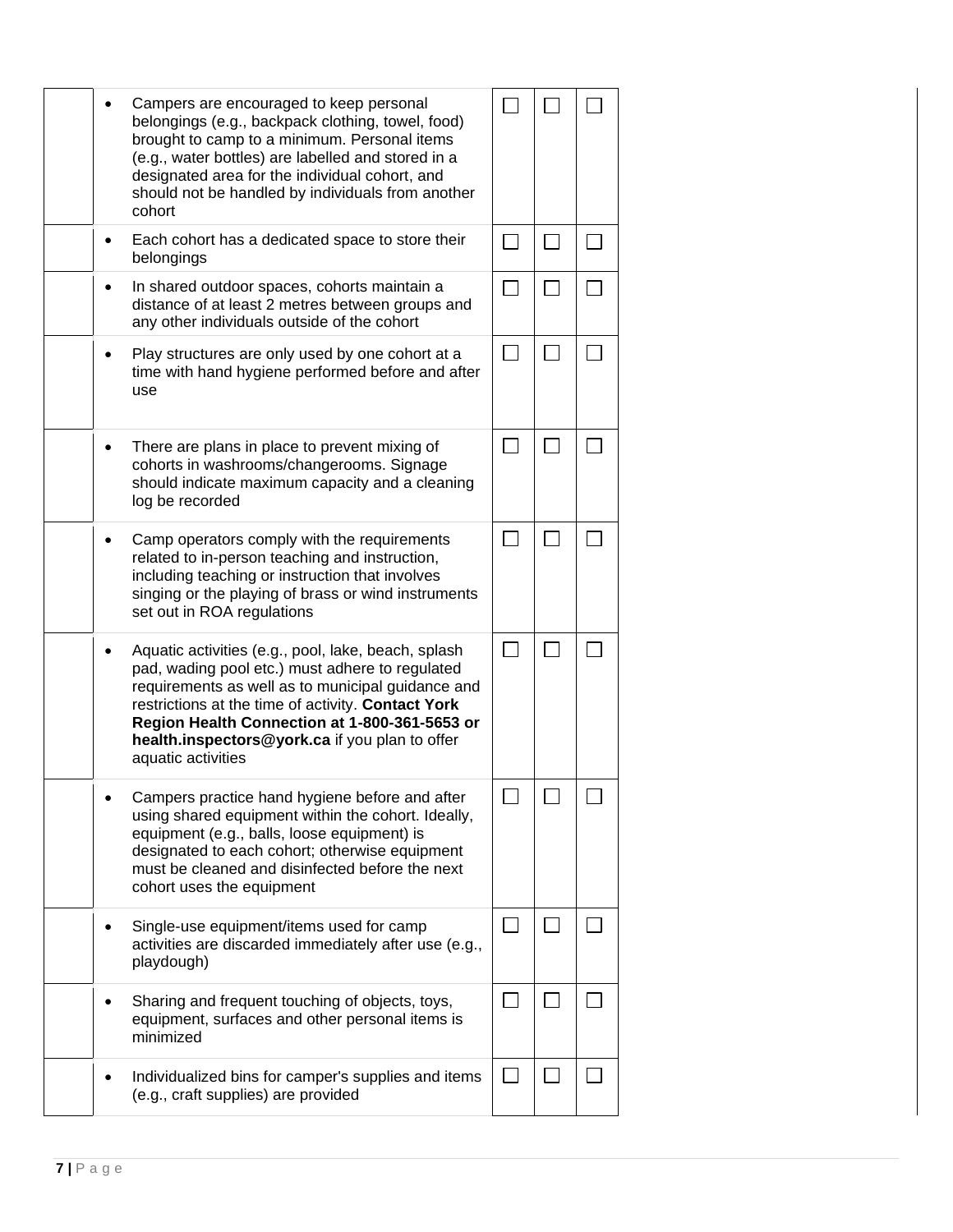|  | Campers are encouraged to keep personal<br>belongings (e.g., backpack clothing, towel, food)<br>brought to camp to a minimum. Personal items<br>(e.g., water bottles) are labelled and stored in a<br>designated area for the individual cohort, and<br>should not be handled by individuals from another<br>cohort                        |  |  |
|--|--------------------------------------------------------------------------------------------------------------------------------------------------------------------------------------------------------------------------------------------------------------------------------------------------------------------------------------------|--|--|
|  | Each cohort has a dedicated space to store their<br>belongings                                                                                                                                                                                                                                                                             |  |  |
|  | In shared outdoor spaces, cohorts maintain a<br>distance of at least 2 metres between groups and<br>any other individuals outside of the cohort                                                                                                                                                                                            |  |  |
|  | Play structures are only used by one cohort at a<br>time with hand hygiene performed before and after<br>use                                                                                                                                                                                                                               |  |  |
|  | There are plans in place to prevent mixing of<br>cohorts in washrooms/changerooms. Signage<br>should indicate maximum capacity and a cleaning<br>log be recorded                                                                                                                                                                           |  |  |
|  | Camp operators comply with the requirements<br>related to in-person teaching and instruction,<br>including teaching or instruction that involves<br>singing or the playing of brass or wind instruments<br>set out in ROA regulations                                                                                                      |  |  |
|  | Aquatic activities (e.g., pool, lake, beach, splash<br>pad, wading pool etc.) must adhere to regulated<br>requirements as well as to municipal guidance and<br>restrictions at the time of activity. Contact York<br>Region Health Connection at 1-800-361-5653 or<br>health.inspectors@york.ca if you plan to offer<br>aquatic activities |  |  |
|  | Campers practice hand hygiene before and after<br>using shared equipment within the cohort. Ideally,<br>equipment (e.g., balls, loose equipment) is<br>designated to each cohort; otherwise equipment<br>must be cleaned and disinfected before the next<br>cohort uses the equipment                                                      |  |  |
|  | Single-use equipment/items used for camp<br>activities are discarded immediately after use (e.g.,<br>playdough)                                                                                                                                                                                                                            |  |  |
|  | Sharing and frequent touching of objects, toys,<br>equipment, surfaces and other personal items is<br>minimized                                                                                                                                                                                                                            |  |  |
|  | Individualized bins for camper's supplies and items<br>(e.g., craft supplies) are provided                                                                                                                                                                                                                                                 |  |  |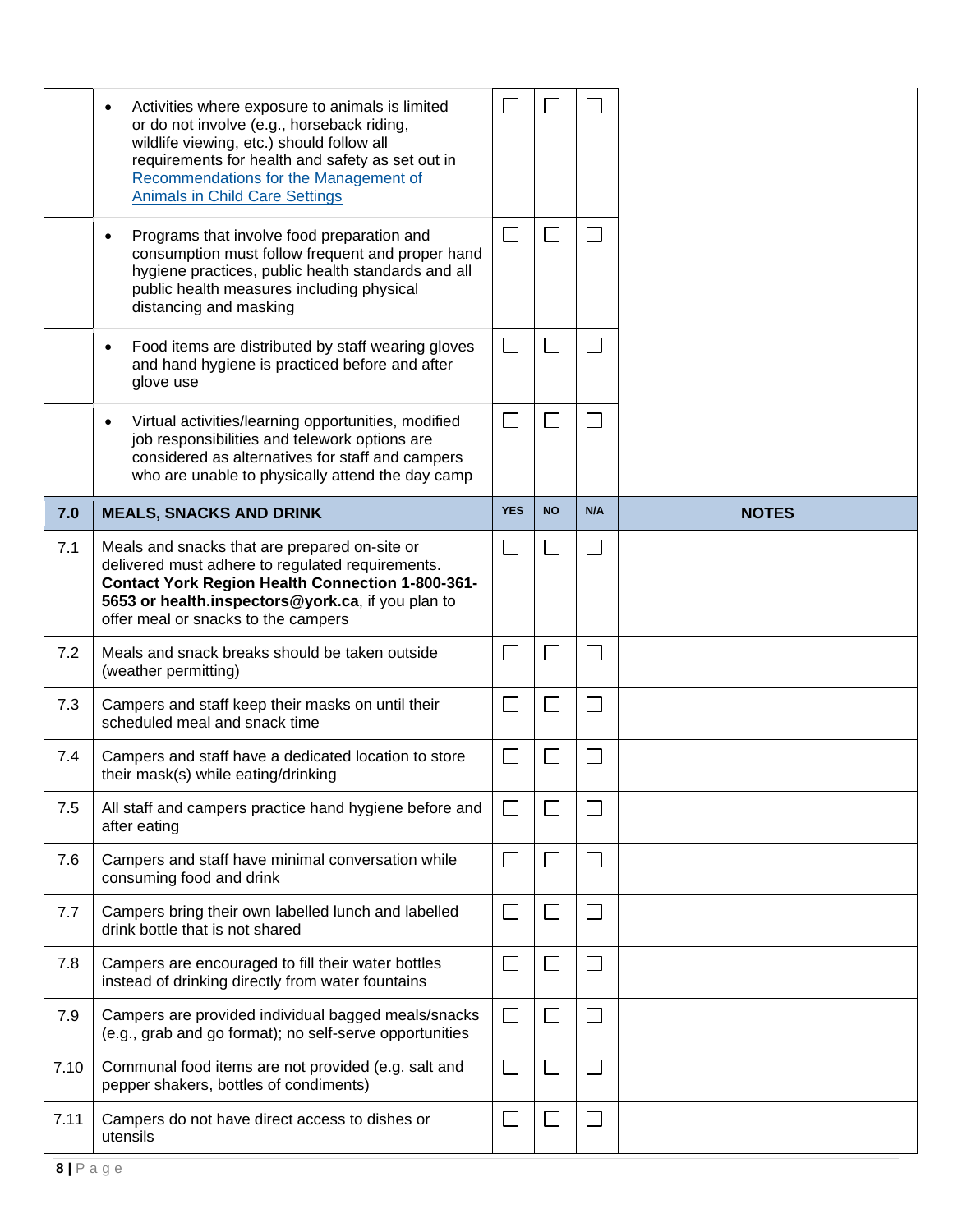|      | Activities where exposure to animals is limited<br>$\bullet$<br>or do not involve (e.g., horseback riding,<br>wildlife viewing, etc.) should follow all<br>requirements for health and safety as set out in<br>Recommendations for the Management of<br><b>Animals in Child Care Settings</b> |              |                   |                             |              |
|------|-----------------------------------------------------------------------------------------------------------------------------------------------------------------------------------------------------------------------------------------------------------------------------------------------|--------------|-------------------|-----------------------------|--------------|
|      | Programs that involve food preparation and<br>$\bullet$<br>consumption must follow frequent and proper hand<br>hygiene practices, public health standards and all<br>public health measures including physical<br>distancing and masking                                                      | $\Box$       |                   | $\mathcal{L}$               |              |
|      | Food items are distributed by staff wearing gloves<br>$\bullet$<br>and hand hygiene is practiced before and after<br>glove use                                                                                                                                                                | $\Box$       |                   | $\blacksquare$              |              |
|      | Virtual activities/learning opportunities, modified<br>$\bullet$<br>job responsibilities and telework options are<br>considered as alternatives for staff and campers<br>who are unable to physically attend the day camp                                                                     | $\Box$       |                   | $\Box$                      |              |
| 7.0  | <b>MEALS, SNACKS AND DRINK</b>                                                                                                                                                                                                                                                                | <b>YES</b>   | <b>NO</b>         | N/A                         | <b>NOTES</b> |
| 7.1  | Meals and snacks that are prepared on-site or<br>delivered must adhere to regulated requirements.<br><b>Contact York Region Health Connection 1-800-361-</b><br>5653 or health.inspectors@york.ca, if you plan to<br>offer meal or snacks to the campers                                      | $\mathbf{L}$ |                   | $\mathcal{L}$               |              |
| 7.2  | Meals and snack breaks should be taken outside<br>(weather permitting)                                                                                                                                                                                                                        |              |                   | $\mathcal{L}$               |              |
| 7.3  | Campers and staff keep their masks on until their<br>scheduled meal and snack time                                                                                                                                                                                                            | $\Box$       | $\vert \ \ \vert$ | $\Box$                      |              |
| 7.4  | Campers and staff have a dedicated location to store<br>their mask(s) while eating/drinking                                                                                                                                                                                                   | └            |                   | $\mathcal{L}$               |              |
| 7.5  | All staff and campers practice hand hygiene before and<br>after eating                                                                                                                                                                                                                        | $\Box$       |                   | $\mathcal{L}$               |              |
| 7.6  | Campers and staff have minimal conversation while<br>consuming food and drink                                                                                                                                                                                                                 | $\Box$       |                   | $\overline{\phantom{a}}$    |              |
| 7.7  | Campers bring their own labelled lunch and labelled<br>drink bottle that is not shared                                                                                                                                                                                                        |              |                   | $\mathcal{L}_{\mathcal{A}}$ |              |
| 7.8  | Campers are encouraged to fill their water bottles<br>instead of drinking directly from water fountains                                                                                                                                                                                       |              |                   | $\mathcal{L}$               |              |
| 7.9  | Campers are provided individual bagged meals/snacks<br>(e.g., grab and go format); no self-serve opportunities                                                                                                                                                                                | $\Box$       |                   | $\mathcal{L}$               |              |
| 7.10 | Communal food items are not provided (e.g. salt and<br>pepper shakers, bottles of condiments)                                                                                                                                                                                                 | $\Box$       |                   | $\sim$                      |              |
| 7.11 | Campers do not have direct access to dishes or<br>utensils                                                                                                                                                                                                                                    | $\Box$       |                   | $\Box$                      |              |
|      |                                                                                                                                                                                                                                                                                               |              |                   |                             |              |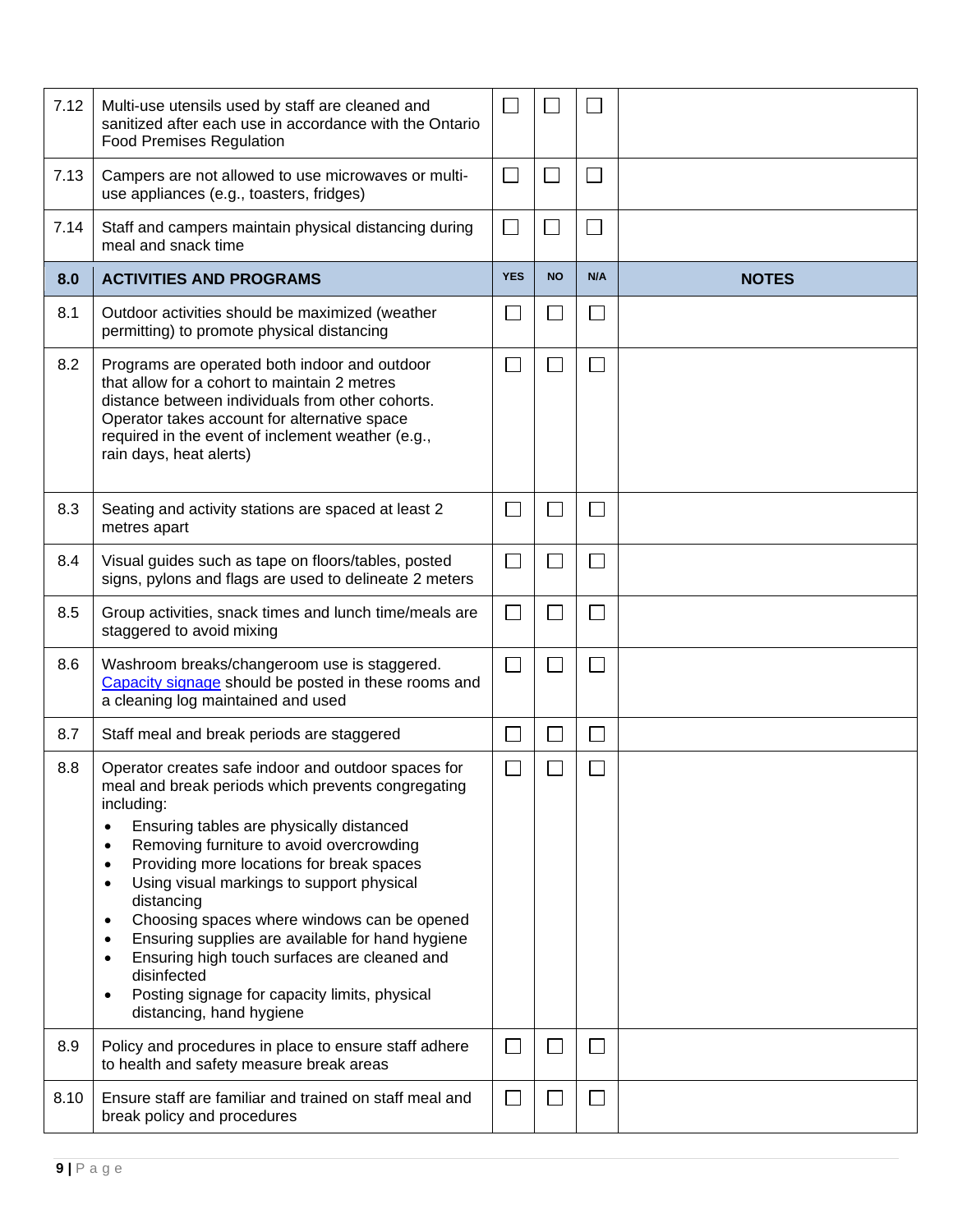| 7.12 | Multi-use utensils used by staff are cleaned and<br>sanitized after each use in accordance with the Ontario<br><b>Food Premises Regulation</b>                                                                                                                                                                                                                                                                                                                                                                                                                                                                                                                                 | $\Box$       | $\mathbf{L}$                |               |              |
|------|--------------------------------------------------------------------------------------------------------------------------------------------------------------------------------------------------------------------------------------------------------------------------------------------------------------------------------------------------------------------------------------------------------------------------------------------------------------------------------------------------------------------------------------------------------------------------------------------------------------------------------------------------------------------------------|--------------|-----------------------------|---------------|--------------|
| 7.13 | Campers are not allowed to use microwaves or multi-<br>use appliances (e.g., toasters, fridges)                                                                                                                                                                                                                                                                                                                                                                                                                                                                                                                                                                                | $\Box$       | $\Box$                      | $\Box$        |              |
| 7.14 | Staff and campers maintain physical distancing during<br>meal and snack time                                                                                                                                                                                                                                                                                                                                                                                                                                                                                                                                                                                                   | $\Box$       | $\Box$                      | ×.            |              |
| 8.0  | <b>ACTIVITIES AND PROGRAMS</b>                                                                                                                                                                                                                                                                                                                                                                                                                                                                                                                                                                                                                                                 | <b>YES</b>   | <b>NO</b>                   | N/A           | <b>NOTES</b> |
| 8.1  | Outdoor activities should be maximized (weather<br>permitting) to promote physical distancing                                                                                                                                                                                                                                                                                                                                                                                                                                                                                                                                                                                  | $\sim$       | $\Box$                      | ×.            |              |
| 8.2  | Programs are operated both indoor and outdoor<br>that allow for a cohort to maintain 2 metres<br>distance between individuals from other cohorts.<br>Operator takes account for alternative space<br>required in the event of inclement weather (e.g.,<br>rain days, heat alerts)                                                                                                                                                                                                                                                                                                                                                                                              | $\sim$       | $\mathcal{L}_{\mathcal{A}}$ | ×             |              |
| 8.3  | Seating and activity stations are spaced at least 2<br>metres apart                                                                                                                                                                                                                                                                                                                                                                                                                                                                                                                                                                                                            | M.           | $\Box$                      |               |              |
| 8.4  | Visual guides such as tape on floors/tables, posted<br>signs, pylons and flags are used to delineate 2 meters                                                                                                                                                                                                                                                                                                                                                                                                                                                                                                                                                                  | $\Box$       | $\Box$                      |               |              |
| 8.5  | Group activities, snack times and lunch time/meals are<br>staggered to avoid mixing                                                                                                                                                                                                                                                                                                                                                                                                                                                                                                                                                                                            | $\Box$       | $\Box$                      |               |              |
| 8.6  | Washroom breaks/changeroom use is staggered.<br>Capacity signage should be posted in these rooms and<br>a cleaning log maintained and used                                                                                                                                                                                                                                                                                                                                                                                                                                                                                                                                     | $\Box$       | $\Box$                      | $\sim$        |              |
| 8.7  | Staff meal and break periods are staggered                                                                                                                                                                                                                                                                                                                                                                                                                                                                                                                                                                                                                                     | $\sim$       | $\mathcal{L}_{\mathcal{A}}$ |               |              |
| 8.8  | Operator creates safe indoor and outdoor spaces for<br>meal and break periods which prevents congregating<br>including:<br>Ensuring tables are physically distanced<br>$\bullet$<br>Removing furniture to avoid overcrowding<br>$\bullet$<br>Providing more locations for break spaces<br>$\bullet$<br>Using visual markings to support physical<br>$\bullet$<br>distancing<br>Choosing spaces where windows can be opened<br>$\bullet$<br>Ensuring supplies are available for hand hygiene<br>$\bullet$<br>Ensuring high touch surfaces are cleaned and<br>$\bullet$<br>disinfected<br>Posting signage for capacity limits, physical<br>$\bullet$<br>distancing, hand hygiene | $\sim$       |                             |               |              |
| 8.9  | Policy and procedures in place to ensure staff adhere<br>to health and safety measure break areas                                                                                                                                                                                                                                                                                                                                                                                                                                                                                                                                                                              | $\Box$       | $\Box$                      | $\mathcal{L}$ |              |
| 8.10 | Ensure staff are familiar and trained on staff meal and<br>break policy and procedures                                                                                                                                                                                                                                                                                                                                                                                                                                                                                                                                                                                         | $\mathbf{L}$ | $\mathcal{L}_{\mathcal{A}}$ |               |              |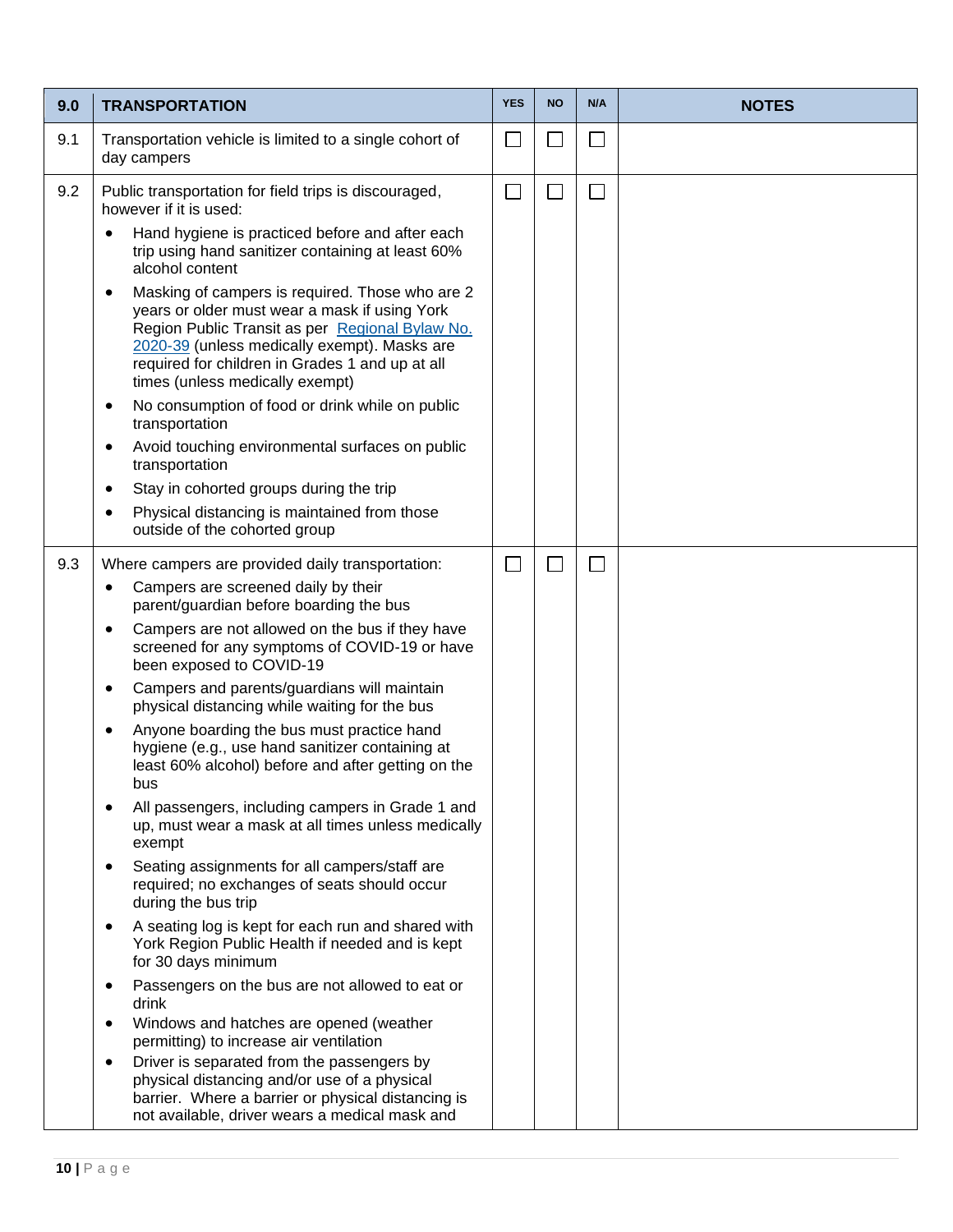| 9.0 | <b>TRANSPORTATION</b>                                                                                                                                                                                                                                                                                  | <b>YES</b>   | <b>NO</b>                   | N/A          | <b>NOTES</b> |
|-----|--------------------------------------------------------------------------------------------------------------------------------------------------------------------------------------------------------------------------------------------------------------------------------------------------------|--------------|-----------------------------|--------------|--------------|
| 9.1 | Transportation vehicle is limited to a single cohort of<br>day campers                                                                                                                                                                                                                                 | $\Box$       | $\mathcal{L}_{\mathcal{A}}$ | $\Box$       |              |
| 9.2 | Public transportation for field trips is discouraged,<br>however if it is used:                                                                                                                                                                                                                        | $\Box$       | $\mathcal{L}_{\mathcal{A}}$ | $\mathsf{L}$ |              |
|     | Hand hygiene is practiced before and after each<br>$\bullet$<br>trip using hand sanitizer containing at least 60%<br>alcohol content                                                                                                                                                                   |              |                             |              |              |
|     | Masking of campers is required. Those who are 2<br>$\bullet$<br>years or older must wear a mask if using York<br>Region Public Transit as per Regional Bylaw No.<br>2020-39 (unless medically exempt). Masks are<br>required for children in Grades 1 and up at all<br>times (unless medically exempt) |              |                             |              |              |
|     | No consumption of food or drink while on public<br>٠<br>transportation                                                                                                                                                                                                                                 |              |                             |              |              |
|     | Avoid touching environmental surfaces on public<br>٠<br>transportation                                                                                                                                                                                                                                 |              |                             |              |              |
|     | Stay in cohorted groups during the trip<br>٠                                                                                                                                                                                                                                                           |              |                             |              |              |
|     | Physical distancing is maintained from those<br>$\bullet$<br>outside of the cohorted group                                                                                                                                                                                                             |              |                             |              |              |
| 9.3 | Where campers are provided daily transportation:                                                                                                                                                                                                                                                       | $\mathbf{L}$ |                             | $\Box$       |              |
|     | Campers are screened daily by their<br>٠<br>parent/guardian before boarding the bus                                                                                                                                                                                                                    |              |                             |              |              |
|     | Campers are not allowed on the bus if they have<br>$\bullet$<br>screened for any symptoms of COVID-19 or have<br>been exposed to COVID-19                                                                                                                                                              |              |                             |              |              |
|     | Campers and parents/guardians will maintain<br>٠<br>physical distancing while waiting for the bus                                                                                                                                                                                                      |              |                             |              |              |
|     | Anyone boarding the bus must practice hand<br>٠<br>hygiene (e.g., use hand sanitizer containing at<br>least 60% alcohol) before and after getting on the<br>bus                                                                                                                                        |              |                             |              |              |
|     | All passengers, including campers in Grade 1 and<br>$\bullet$<br>up, must wear a mask at all times unless medically<br>exempt                                                                                                                                                                          |              |                             |              |              |
|     | Seating assignments for all campers/staff are<br>٠<br>required; no exchanges of seats should occur<br>during the bus trip                                                                                                                                                                              |              |                             |              |              |
|     | A seating log is kept for each run and shared with<br>$\bullet$<br>York Region Public Health if needed and is kept<br>for 30 days minimum                                                                                                                                                              |              |                             |              |              |
|     | Passengers on the bus are not allowed to eat or<br>$\bullet$<br>drink                                                                                                                                                                                                                                  |              |                             |              |              |
|     | Windows and hatches are opened (weather<br>٠<br>permitting) to increase air ventilation                                                                                                                                                                                                                |              |                             |              |              |
|     | Driver is separated from the passengers by<br>$\bullet$<br>physical distancing and/or use of a physical<br>barrier. Where a barrier or physical distancing is<br>not available, driver wears a medical mask and                                                                                        |              |                             |              |              |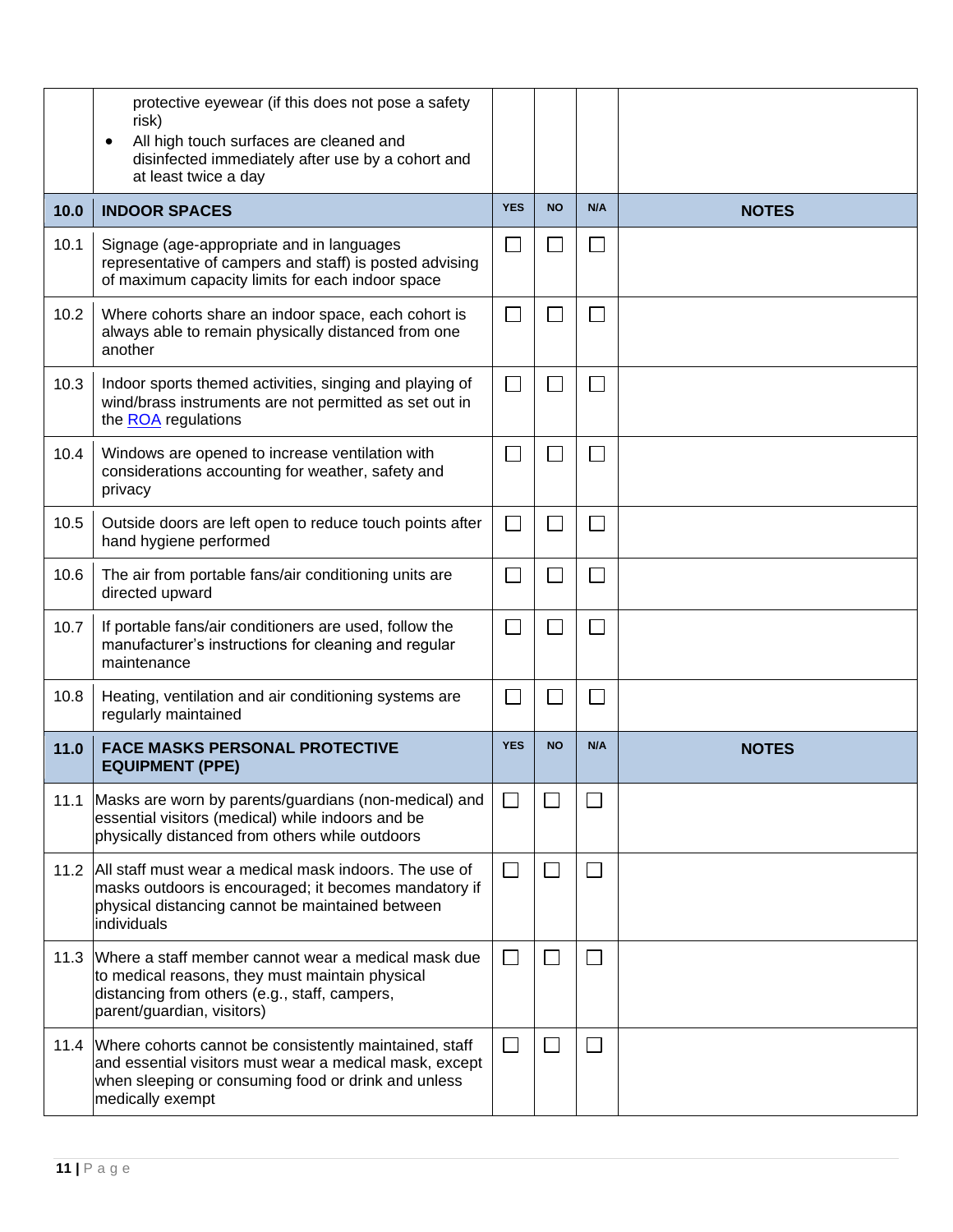|      | protective eyewear (if this does not pose a safety<br>risk)<br>All high touch surfaces are cleaned and<br>disinfected immediately after use by a cohort and<br>at least twice a day          |                             |           |                             |              |
|------|----------------------------------------------------------------------------------------------------------------------------------------------------------------------------------------------|-----------------------------|-----------|-----------------------------|--------------|
| 10.0 | <b>INDOOR SPACES</b>                                                                                                                                                                         | <b>YES</b>                  | <b>NO</b> | N/A                         | <b>NOTES</b> |
| 10.1 | Signage (age-appropriate and in languages<br>representative of campers and staff) is posted advising<br>of maximum capacity limits for each indoor space                                     | $\Box$                      | $\Box$    | ×.                          |              |
| 10.2 | Where cohorts share an indoor space, each cohort is<br>always able to remain physically distanced from one<br>another                                                                        | $\Box$                      | $\Box$    | ×.                          |              |
| 10.3 | Indoor sports themed activities, singing and playing of<br>wind/brass instruments are not permitted as set out in<br>the ROA regulations                                                     | $\Box$                      | $\Box$    | $\sim$                      |              |
| 10.4 | Windows are opened to increase ventilation with<br>considerations accounting for weather, safety and<br>privacy                                                                              | $\Box$                      |           |                             |              |
| 10.5 | Outside doors are left open to reduce touch points after<br>hand hygiene performed                                                                                                           | $\Box$                      | П         |                             |              |
| 10.6 | The air from portable fans/air conditioning units are<br>directed upward                                                                                                                     | $\Box$                      | П         | ×.                          |              |
| 10.7 | If portable fans/air conditioners are used, follow the<br>manufacturer's instructions for cleaning and regular<br>maintenance                                                                | $\Box$                      | $\Box$    | $\mathcal{L}_{\mathcal{A}}$ |              |
| 10.8 | Heating, ventilation and air conditioning systems are<br>regularly maintained                                                                                                                | $\Box$                      | $\Box$    | $\sim$                      |              |
| 11.0 | <b>FACE MASKS PERSONAL PROTECTIVE</b><br><b>EQUIPMENT (PPE)</b>                                                                                                                              | <b>YES</b>                  | <b>NO</b> | N/A                         | <b>NOTES</b> |
| 11.1 | Masks are worn by parents/guardians (non-medical) and<br>essential visitors (medical) while indoors and be<br>physically distanced from others while outdoors                                | $\mathbf{L}$                |           |                             |              |
| 11.2 | All staff must wear a medical mask indoors. The use of<br>masks outdoors is encouraged; it becomes mandatory if<br>physical distancing cannot be maintained between<br>individuals           |                             | $\Box$    | $\sim$                      |              |
| 11.3 | Where a staff member cannot wear a medical mask due<br>to medical reasons, they must maintain physical<br>distancing from others (e.g., staff, campers,<br>parent/guardian, visitors)        | $\Box$                      | $\Box$    | $\sim$                      |              |
| 11.4 | Where cohorts cannot be consistently maintained, staff<br>and essential visitors must wear a medical mask, except<br>when sleeping or consuming food or drink and unless<br>medically exempt | $\mathcal{L}_{\mathcal{A}}$ |           |                             |              |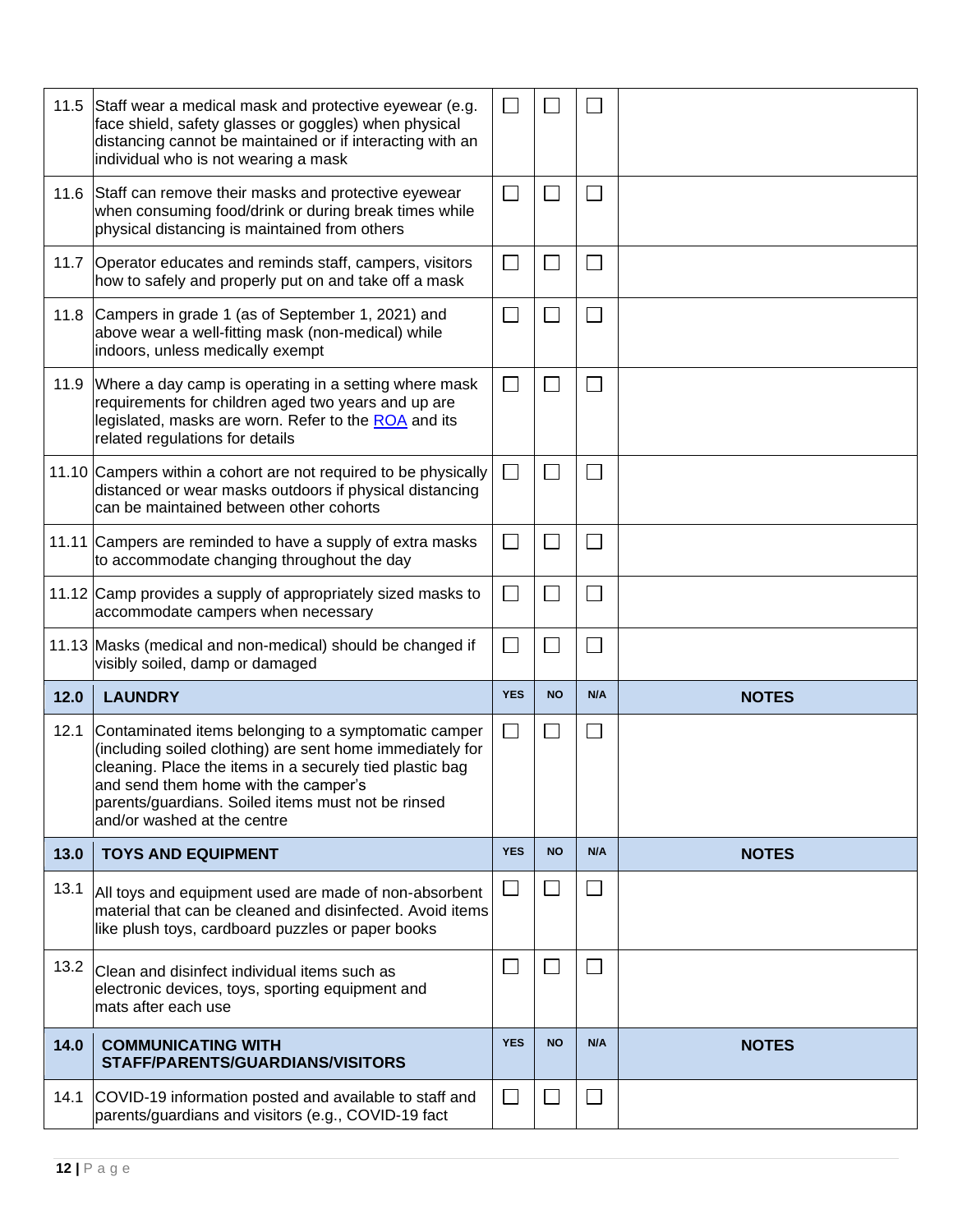| 11.5 | Staff wear a medical mask and protective eyewear (e.g.<br>face shield, safety glasses or goggles) when physical<br>distancing cannot be maintained or if interacting with an<br>individual who is not wearing a mask                                                                                       | $\Box$     |                          |              |              |
|------|------------------------------------------------------------------------------------------------------------------------------------------------------------------------------------------------------------------------------------------------------------------------------------------------------------|------------|--------------------------|--------------|--------------|
| 11.6 | Staff can remove their masks and protective eyewear<br>when consuming food/drink or during break times while<br>physical distancing is maintained from others                                                                                                                                              | $\Box$     | $\Box$                   | $\Box$       |              |
| 11.7 | Operator educates and reminds staff, campers, visitors<br>how to safely and properly put on and take off a mask                                                                                                                                                                                            | $\Box$     | $\sim$                   |              |              |
| 11.8 | Campers in grade 1 (as of September 1, 2021) and<br>above wear a well-fitting mask (non-medical) while<br>indoors, unless medically exempt                                                                                                                                                                 | $\Box$     | $\Box$                   | $\Box$       |              |
| 11.9 | Where a day camp is operating in a setting where mask<br>requirements for children aged two years and up are<br>legislated, masks are worn. Refer to the ROA and its<br>related regulations for details                                                                                                    | $\Box$     | $\mathbb{R}^n$           | $\mathsf{L}$ |              |
|      | 11.10 Campers within a cohort are not required to be physically<br>distanced or wear masks outdoors if physical distancing<br>can be maintained between other cohorts                                                                                                                                      | $\Box$     | $\Box$                   | $\Box$       |              |
|      | 11.11 Campers are reminded to have a supply of extra masks<br>to accommodate changing throughout the day                                                                                                                                                                                                   | $\Box$     |                          |              |              |
|      | 11.12 Camp provides a supply of appropriately sized masks to<br>accommodate campers when necessary                                                                                                                                                                                                         | $\Box$     | $\overline{\phantom{a}}$ | $\sim$       |              |
|      | 11.13 Masks (medical and non-medical) should be changed if<br>visibly soiled, damp or damaged                                                                                                                                                                                                              | $\Box$     | $\sim$                   |              |              |
| 12.0 | <b>LAUNDRY</b>                                                                                                                                                                                                                                                                                             | <b>YES</b> | <b>NO</b>                | N/A          | <b>NOTES</b> |
| 12.1 | Contaminated items belonging to a symptomatic camper<br>(including soiled clothing) are sent home immediately for<br>cleaning. Place the items in a securely tied plastic bag<br>and send them home with the camper's<br>parents/guardians. Soiled items must not be rinsed<br>and/or washed at the centre | $\Box$     | $\sim$                   |              |              |
| 13.0 | <b>TOYS AND EQUIPMENT</b>                                                                                                                                                                                                                                                                                  | <b>YES</b> | <b>NO</b>                | N/A          | <b>NOTES</b> |
| 13.1 | All toys and equipment used are made of non-absorbent<br>material that can be cleaned and disinfected. Avoid items<br>like plush toys, cardboard puzzles or paper books                                                                                                                                    | $\Box$     | $\Box$                   | $\Box$       |              |
| 13.2 | Clean and disinfect individual items such as<br>electronic devices, toys, sporting equipment and<br>mats after each use                                                                                                                                                                                    | $\Box$     | $\perp$                  | $\Box$       |              |
| 14.0 | <b>COMMUNICATING WITH</b><br>STAFF/PARENTS/GUARDIANS/VISITORS                                                                                                                                                                                                                                              | <b>YES</b> | <b>NO</b>                | N/A          | <b>NOTES</b> |
| 14.1 | COVID-19 information posted and available to staff and<br>parents/guardians and visitors (e.g., COVID-19 fact                                                                                                                                                                                              | $\Box$     | $\Box$                   | $\mathsf{L}$ |              |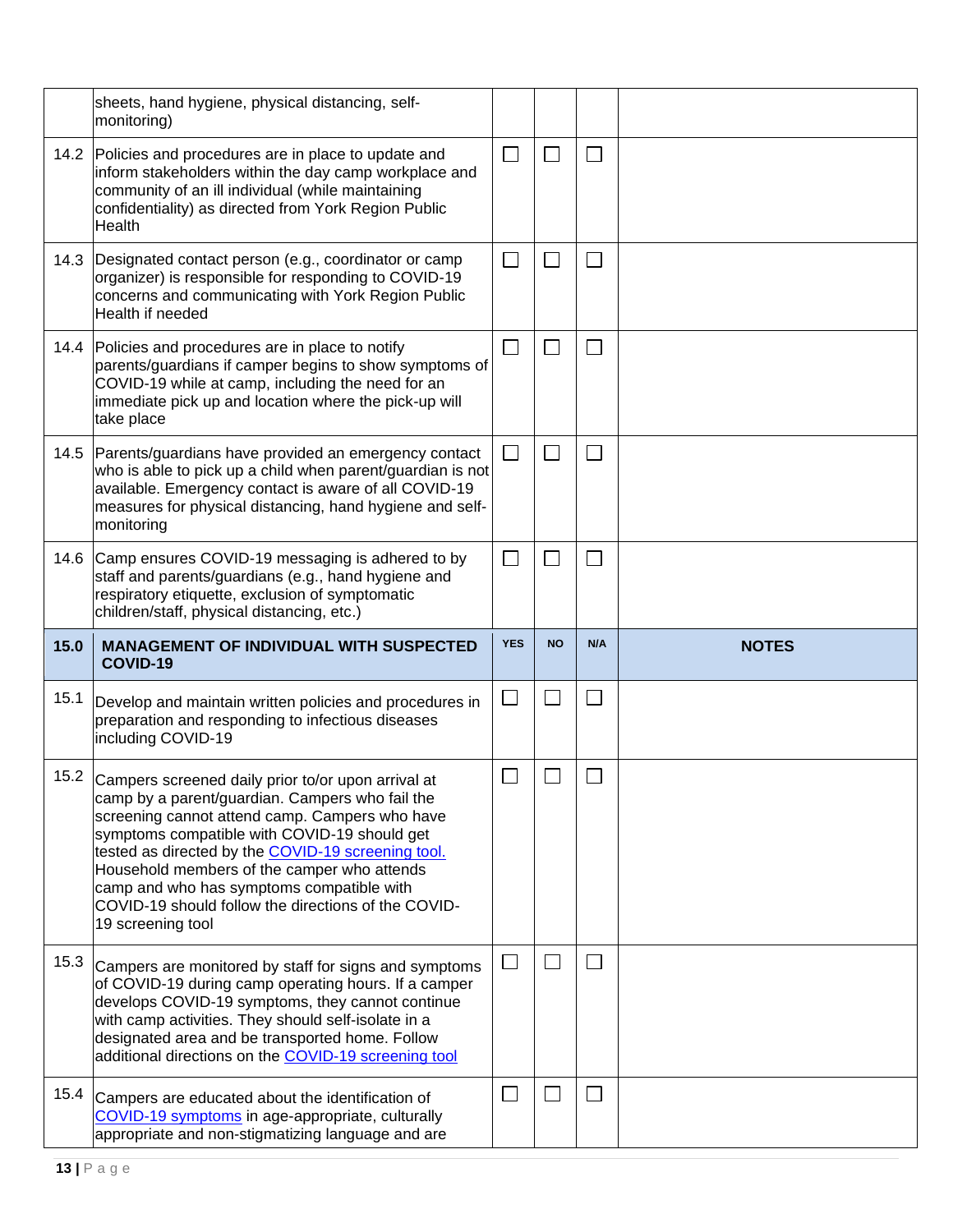|      | sheets, hand hygiene, physical distancing, self-<br>monitoring)                                                                                                                                                                                                                                                                                                                                                                            |                             |                |        |              |
|------|--------------------------------------------------------------------------------------------------------------------------------------------------------------------------------------------------------------------------------------------------------------------------------------------------------------------------------------------------------------------------------------------------------------------------------------------|-----------------------------|----------------|--------|--------------|
| 14.2 | Policies and procedures are in place to update and<br>inform stakeholders within the day camp workplace and<br>community of an ill individual (while maintaining<br>confidentiality) as directed from York Region Public<br>Health                                                                                                                                                                                                         | $\Box$                      |                |        |              |
| 14.3 | Designated contact person (e.g., coordinator or camp<br>organizer) is responsible for responding to COVID-19<br>concerns and communicating with York Region Public<br>Health if needed                                                                                                                                                                                                                                                     | $\Box$                      | $\blacksquare$ | $\sim$ |              |
|      | 14.4 Policies and procedures are in place to notify<br>parents/guardians if camper begins to show symptoms of<br>COVID-19 while at camp, including the need for an<br>immediate pick up and location where the pick-up will<br>take place                                                                                                                                                                                                  | $\Box$                      |                | LУ.    |              |
| 14.5 | Parents/guardians have provided an emergency contact<br>who is able to pick up a child when parent/guardian is not<br>available. Emergency contact is aware of all COVID-19<br>measures for physical distancing, hand hygiene and self-<br>monitoring                                                                                                                                                                                      | $\mathcal{L}_{\mathcal{A}}$ |                |        |              |
| 14.6 | Camp ensures COVID-19 messaging is adhered to by<br>staff and parents/guardians (e.g., hand hygiene and<br>respiratory etiquette, exclusion of symptomatic                                                                                                                                                                                                                                                                                 | $\vert \ \ \vert$           | $\sim$         | $\sim$ |              |
|      | children/staff, physical distancing, etc.)                                                                                                                                                                                                                                                                                                                                                                                                 |                             |                |        |              |
| 15.0 | <b>MANAGEMENT OF INDIVIDUAL WITH SUSPECTED</b><br>COVID-19                                                                                                                                                                                                                                                                                                                                                                                 | <b>YES</b>                  | <b>NO</b>      | N/A    | <b>NOTES</b> |
| 15.1 | Develop and maintain written policies and procedures in<br>preparation and responding to infectious diseases<br>including COVID-19                                                                                                                                                                                                                                                                                                         | $\Box$                      | $\Box$         | $\Box$ |              |
|      | 15.2 Campers screened daily prior to/or upon arrival at<br>camp by a parent/guardian. Campers who fail the<br>screening cannot attend camp. Campers who have<br>symptoms compatible with COVID-19 should get<br>tested as directed by the COVID-19 screening tool.<br>Household members of the camper who attends<br>camp and who has symptoms compatible with<br>COVID-19 should follow the directions of the COVID-<br>19 screening tool |                             |                |        |              |
| 15.3 | Campers are monitored by staff for signs and symptoms<br>of COVID-19 during camp operating hours. If a camper<br>develops COVID-19 symptoms, they cannot continue<br>with camp activities. They should self-isolate in a<br>designated area and be transported home. Follow<br>additional directions on the COVID-19 screening tool                                                                                                        | $\Box$                      |                |        |              |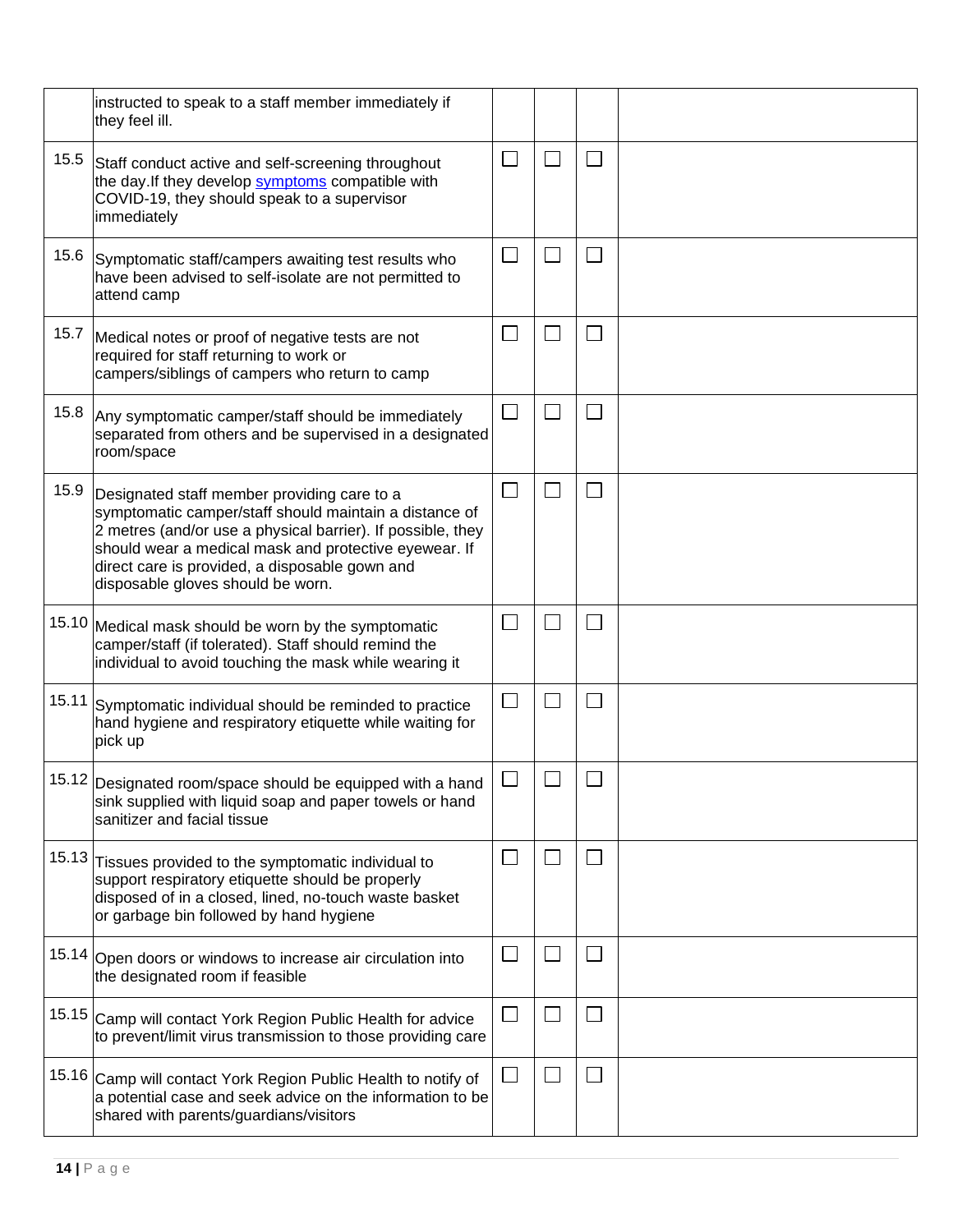|       | instructed to speak to a staff member immediately if<br>they feel ill.                                                                                                                                                                                                                                               |                             |                   |                |  |
|-------|----------------------------------------------------------------------------------------------------------------------------------------------------------------------------------------------------------------------------------------------------------------------------------------------------------------------|-----------------------------|-------------------|----------------|--|
| 15.5  | Staff conduct active and self-screening throughout<br>the day. If they develop symptoms compatible with<br>COVID-19, they should speak to a supervisor<br>immediately                                                                                                                                                | $\mathcal{L}_{\mathcal{A}}$ |                   | $\sim$         |  |
| 15.6  | Symptomatic staff/campers awaiting test results who<br>have been advised to self-isolate are not permitted to<br>attend camp                                                                                                                                                                                         | $\Box$                      |                   |                |  |
| 15.7  | Medical notes or proof of negative tests are not<br>required for staff returning to work or<br>campers/siblings of campers who return to camp                                                                                                                                                                        | $\Box$                      | $\blacksquare$    | $\blacksquare$ |  |
| 15.8  | Any symptomatic camper/staff should be immediately<br>separated from others and be supervised in a designated<br>room/space                                                                                                                                                                                          | $\Box$                      |                   |                |  |
| 15.9  | Designated staff member providing care to a<br>symptomatic camper/staff should maintain a distance of<br>2 metres (and/or use a physical barrier). If possible, they<br>should wear a medical mask and protective eyewear. If<br>direct care is provided, a disposable gown and<br>disposable gloves should be worn. | $\Box$                      |                   |                |  |
| 15.10 | Medical mask should be worn by the symptomatic<br>camper/staff (if tolerated). Staff should remind the<br>individual to avoid touching the mask while wearing it                                                                                                                                                     | $\Box$                      | $\Box$            | $\blacksquare$ |  |
| 15.11 | Symptomatic individual should be reminded to practice<br>hand hygiene and respiratory etiquette while waiting for<br>pick up                                                                                                                                                                                         | $\Box$                      |                   |                |  |
|       | 15.12 Designated room/space should be equipped with a hand<br>sink supplied with liquid soap and paper towels or hand<br>sanitizer and facial tissue                                                                                                                                                                 |                             |                   |                |  |
| 15.13 | Tissues provided to the symptomatic individual to<br>support respiratory etiquette should be properly<br>disposed of in a closed, lined, no-touch waste basket<br>or garbage bin followed by hand hygiene                                                                                                            | $\Box$                      |                   |                |  |
|       | 15.14 Open doors or windows to increase air circulation into<br>the designated room if feasible                                                                                                                                                                                                                      | $\Box$                      |                   | $\sim$         |  |
| 15.15 | Camp will contact York Region Public Health for advice<br>to prevent/limit virus transmission to those providing care                                                                                                                                                                                                | $\Box$                      | $\vert \ \ \vert$ | $\blacksquare$ |  |
| 15.16 | Camp will contact York Region Public Health to notify of<br>a potential case and seek advice on the information to be<br>shared with parents/guardians/visitors                                                                                                                                                      | $\Box$                      |                   |                |  |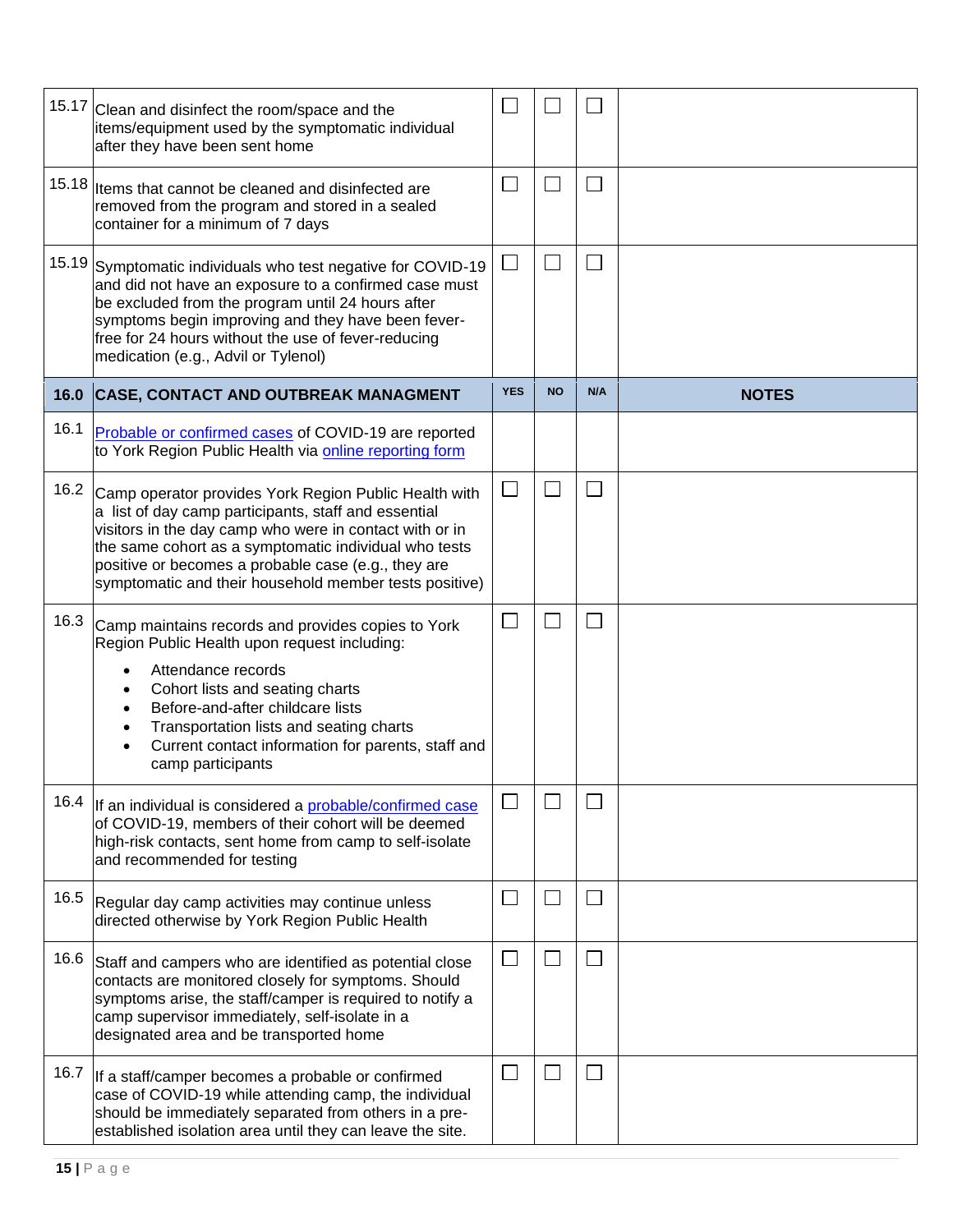|      | 15.17 Clean and disinfect the room/space and the<br>items/equipment used by the symptomatic individual<br>after they have been sent home                                                                                                                                                                                                                                               | $\mathcal{L}_{\mathcal{A}}$ |                          |              |              |
|------|----------------------------------------------------------------------------------------------------------------------------------------------------------------------------------------------------------------------------------------------------------------------------------------------------------------------------------------------------------------------------------------|-----------------------------|--------------------------|--------------|--------------|
|      | 15.18 Items that cannot be cleaned and disinfected are<br>removed from the program and stored in a sealed<br>container for a minimum of 7 days                                                                                                                                                                                                                                         | $\Box$                      | $\Box$                   | $\sqcup$     |              |
|      | 15.19 Symptomatic individuals who test negative for COVID-19<br>and did not have an exposure to a confirmed case must<br>be excluded from the program until 24 hours after<br>symptoms begin improving and they have been fever-<br>free for 24 hours without the use of fever-reducing<br>medication (e.g., Advil or Tylenol)                                                         | $\Box$                      |                          |              |              |
| 16.0 | <b>CASE, CONTACT AND OUTBREAK MANAGMENT</b>                                                                                                                                                                                                                                                                                                                                            | <b>YES</b>                  | <b>NO</b>                | N/A          | <b>NOTES</b> |
| 16.1 | Probable or confirmed cases of COVID-19 are reported<br>to York Region Public Health via online reporting form                                                                                                                                                                                                                                                                         |                             |                          |              |              |
| 16.2 | Camp operator provides York Region Public Health with<br>a list of day camp participants, staff and essential<br>visitors in the day camp who were in contact with or in<br>the same cohort as a symptomatic individual who tests<br>positive or becomes a probable case (e.g., they are<br>symptomatic and their household member tests positive)                                     | $\Box$                      |                          | $\sim$       |              |
| 16.3 | Camp maintains records and provides copies to York<br>Region Public Health upon request including:<br>Attendance records<br>$\bullet$<br>Cohort lists and seating charts<br>$\bullet$<br>Before-and-after childcare lists<br>$\bullet$<br>Transportation lists and seating charts<br>$\bullet$<br>Current contact information for parents, staff and<br>$\bullet$<br>camp participants | $\Box$                      |                          |              |              |
| 16.4 | If an individual is considered a probable/confirmed case<br>of COVID-19, members of their cohort will be deemed<br>high-risk contacts, sent home from camp to self-isolate<br>and recommended for testing                                                                                                                                                                              | $\Box$                      |                          |              |              |
| 16.5 | Regular day camp activities may continue unless<br>directed otherwise by York Region Public Health                                                                                                                                                                                                                                                                                     | $\Box$                      |                          |              |              |
| 16.6 | Staff and campers who are identified as potential close<br>contacts are monitored closely for symptoms. Should<br>symptoms arise, the staff/camper is required to notify a<br>camp supervisor immediately, self-isolate in a<br>designated area and be transported home                                                                                                                | $\Box$                      | $\overline{\phantom{a}}$ | $\mathsf{L}$ |              |
| 16.7 | If a staff/camper becomes a probable or confirmed<br>case of COVID-19 while attending camp, the individual<br>should be immediately separated from others in a pre-<br>established isolation area until they can leave the site.                                                                                                                                                       | $\Box$                      | $\sim$                   | M.           |              |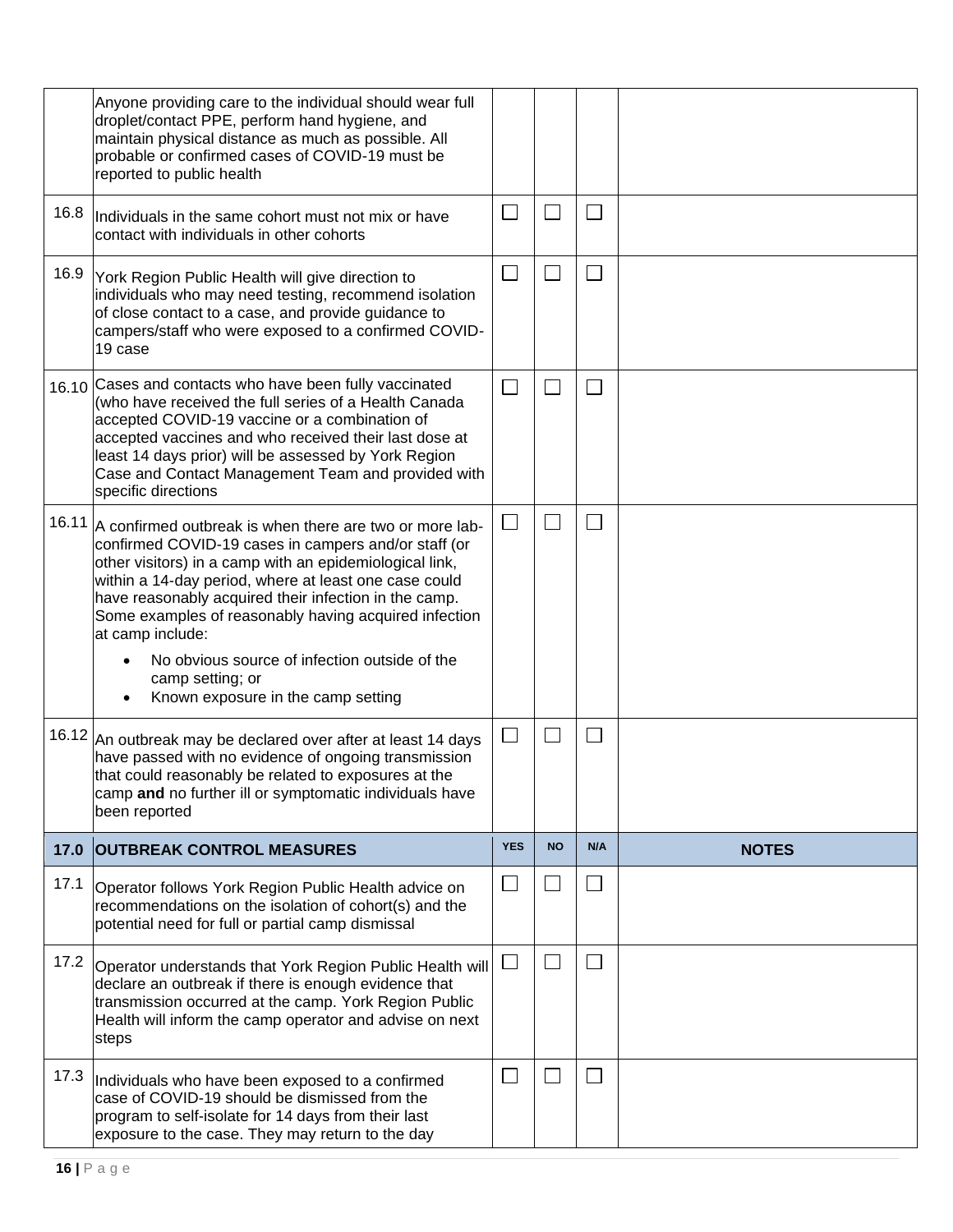|       | Anyone providing care to the individual should wear full<br>droplet/contact PPE, perform hand hygiene, and<br>maintain physical distance as much as possible. All<br>probable or confirmed cases of COVID-19 must be<br>reported to public health                                                                                                                                                                                                                                    |            |              |                             |              |
|-------|--------------------------------------------------------------------------------------------------------------------------------------------------------------------------------------------------------------------------------------------------------------------------------------------------------------------------------------------------------------------------------------------------------------------------------------------------------------------------------------|------------|--------------|-----------------------------|--------------|
| 16.8  | Individuals in the same cohort must not mix or have<br>contact with individuals in other cohorts                                                                                                                                                                                                                                                                                                                                                                                     | $\Box$     |              | l I                         |              |
| 16.9  | York Region Public Health will give direction to<br>individuals who may need testing, recommend isolation<br>of close contact to a case, and provide guidance to<br>campers/staff who were exposed to a confirmed COVID-<br>19 case                                                                                                                                                                                                                                                  | $\Box$     |              | $\mathcal{L}_{\mathcal{A}}$ |              |
| 16.10 | Cases and contacts who have been fully vaccinated<br>(who have received the full series of a Health Canada<br>accepted COVID-19 vaccine or a combination of<br>accepted vaccines and who received their last dose at<br>least 14 days prior) will be assessed by York Region<br>Case and Contact Management Team and provided with<br>specific directions                                                                                                                            | $\Box$     |              |                             |              |
| 16.11 | A confirmed outbreak is when there are two or more lab-<br>confirmed COVID-19 cases in campers and/or staff (or<br>other visitors) in a camp with an epidemiological link,<br>within a 14-day period, where at least one case could<br>have reasonably acquired their infection in the camp.<br>Some examples of reasonably having acquired infection<br>at camp include:<br>No obvious source of infection outside of the<br>camp setting; or<br>Known exposure in the camp setting | $\Box$     |              |                             |              |
|       | 16.12 An outbreak may be declared over after at least 14 days<br>have passed with no evidence of ongoing transmission<br>that could reasonably be related to exposures at the<br>camp and no further ill or symptomatic individuals have<br>been reported                                                                                                                                                                                                                            | $\Box$     |              | l I                         |              |
| 17.0  | <b>OUTBREAK CONTROL MEASURES</b>                                                                                                                                                                                                                                                                                                                                                                                                                                                     | <b>YES</b> | <b>NO</b>    | N/A                         | <b>NOTES</b> |
| 17.1  | Operator follows York Region Public Health advice on<br>recommendations on the isolation of cohort(s) and the<br>potential need for full or partial camp dismissal                                                                                                                                                                                                                                                                                                                   | $\Box$     | $\mathsf{L}$ | $\Box$                      |              |
| 17.2  | Operator understands that York Region Public Health will<br>declare an outbreak if there is enough evidence that<br>transmission occurred at the camp. York Region Public<br>Health will inform the camp operator and advise on next<br>steps                                                                                                                                                                                                                                        | $\Box$     |              | l a                         |              |
| 17.3  | Individuals who have been exposed to a confirmed<br>case of COVID-19 should be dismissed from the<br>program to self-isolate for 14 days from their last<br>exposure to the case. They may return to the day                                                                                                                                                                                                                                                                         | $\Box$     |              |                             |              |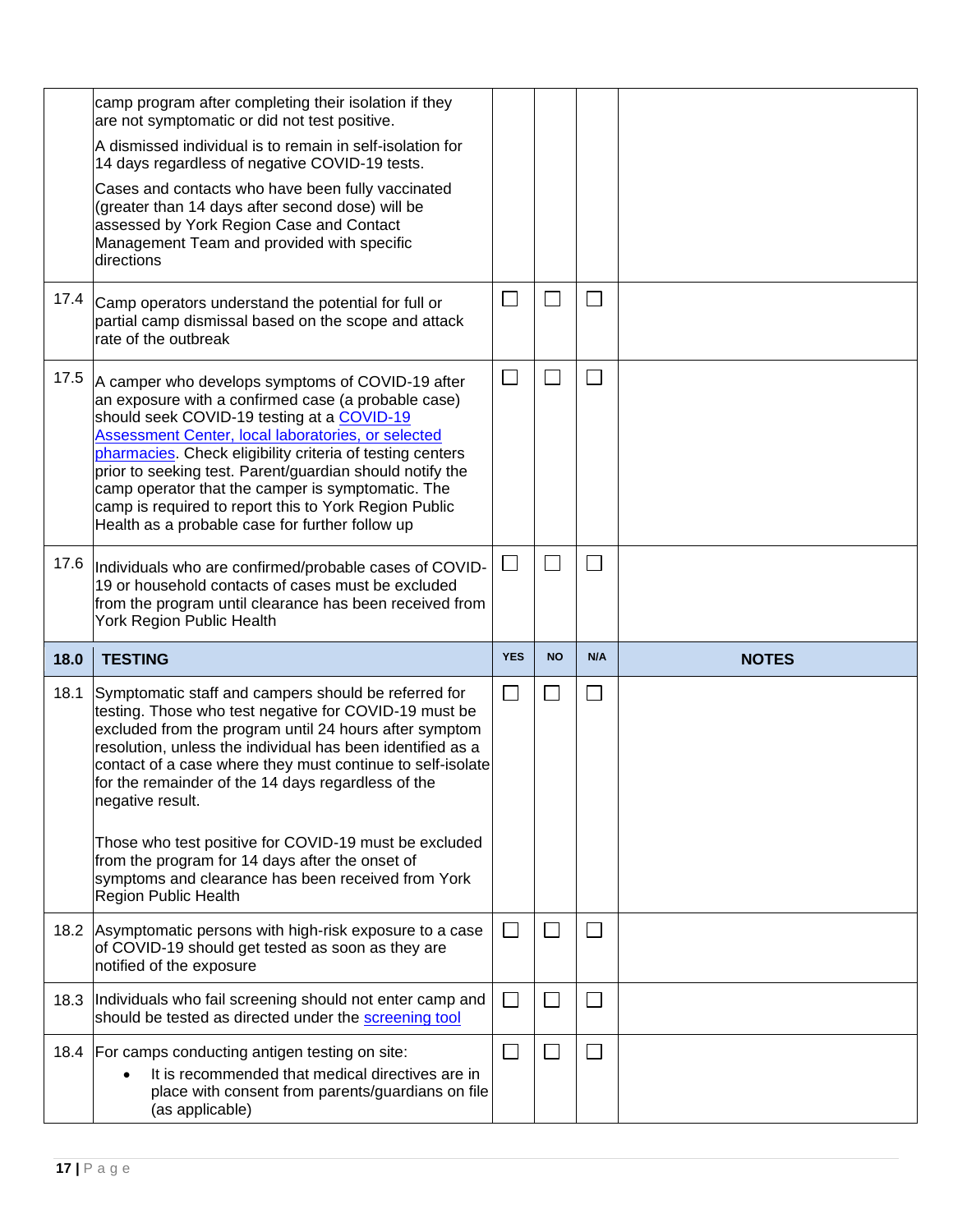|      | camp program after completing their isolation if they<br>are not symptomatic or did not test positive.<br>A dismissed individual is to remain in self-isolation for<br>14 days regardless of negative COVID-19 tests.<br>Cases and contacts who have been fully vaccinated<br>(greater than 14 days after second dose) will be<br>assessed by York Region Case and Contact<br>Management Team and provided with specific<br>directions                                                                                                                                  |            |           |        |              |
|------|-------------------------------------------------------------------------------------------------------------------------------------------------------------------------------------------------------------------------------------------------------------------------------------------------------------------------------------------------------------------------------------------------------------------------------------------------------------------------------------------------------------------------------------------------------------------------|------------|-----------|--------|--------------|
| 17.4 | Camp operators understand the potential for full or<br>partial camp dismissal based on the scope and attack<br>rate of the outbreak                                                                                                                                                                                                                                                                                                                                                                                                                                     | $\Box$     |           | ×.     |              |
| 17.5 | A camper who develops symptoms of COVID-19 after<br>an exposure with a confirmed case (a probable case)<br>should seek COVID-19 testing at a COVID-19<br>Assessment Center, local laboratories, or selected<br>pharmacies. Check eligibility criteria of testing centers<br>prior to seeking test. Parent/guardian should notify the<br>camp operator that the camper is symptomatic. The<br>camp is required to report this to York Region Public<br>Health as a probable case for further follow up                                                                   | $\Box$     |           | a l    |              |
| 17.6 | Individuals who are confirmed/probable cases of COVID-<br>19 or household contacts of cases must be excluded<br>from the program until clearance has been received from<br>York Region Public Health                                                                                                                                                                                                                                                                                                                                                                    | $\Box$     |           |        |              |
|      |                                                                                                                                                                                                                                                                                                                                                                                                                                                                                                                                                                         |            |           |        |              |
| 18.0 | <b>TESTING</b>                                                                                                                                                                                                                                                                                                                                                                                                                                                                                                                                                          | <b>YES</b> | <b>NO</b> | N/A    | <b>NOTES</b> |
| 18.1 | Symptomatic staff and campers should be referred for<br>testing. Those who test negative for COVID-19 must be<br>excluded from the program until 24 hours after symptom<br>resolution, unless the individual has been identified as a<br>contact of a case where they must continue to self-isolate<br>for the remainder of the 14 days regardless of the<br>negative result.<br>Those who test positive for COVID-19 must be excluded<br>from the program for 14 days after the onset of<br>symptoms and clearance has been received from York<br>Region Public Health | $\Box$     | $\Box$    | $\Box$ |              |
| 18.2 | Asymptomatic persons with high-risk exposure to a case<br>of COVID-19 should get tested as soon as they are<br>notified of the exposure                                                                                                                                                                                                                                                                                                                                                                                                                                 | $\Box$     | $\Box$    |        |              |
| 18.3 | Individuals who fail screening should not enter camp and<br>should be tested as directed under the screening tool                                                                                                                                                                                                                                                                                                                                                                                                                                                       | $\Box$     |           |        |              |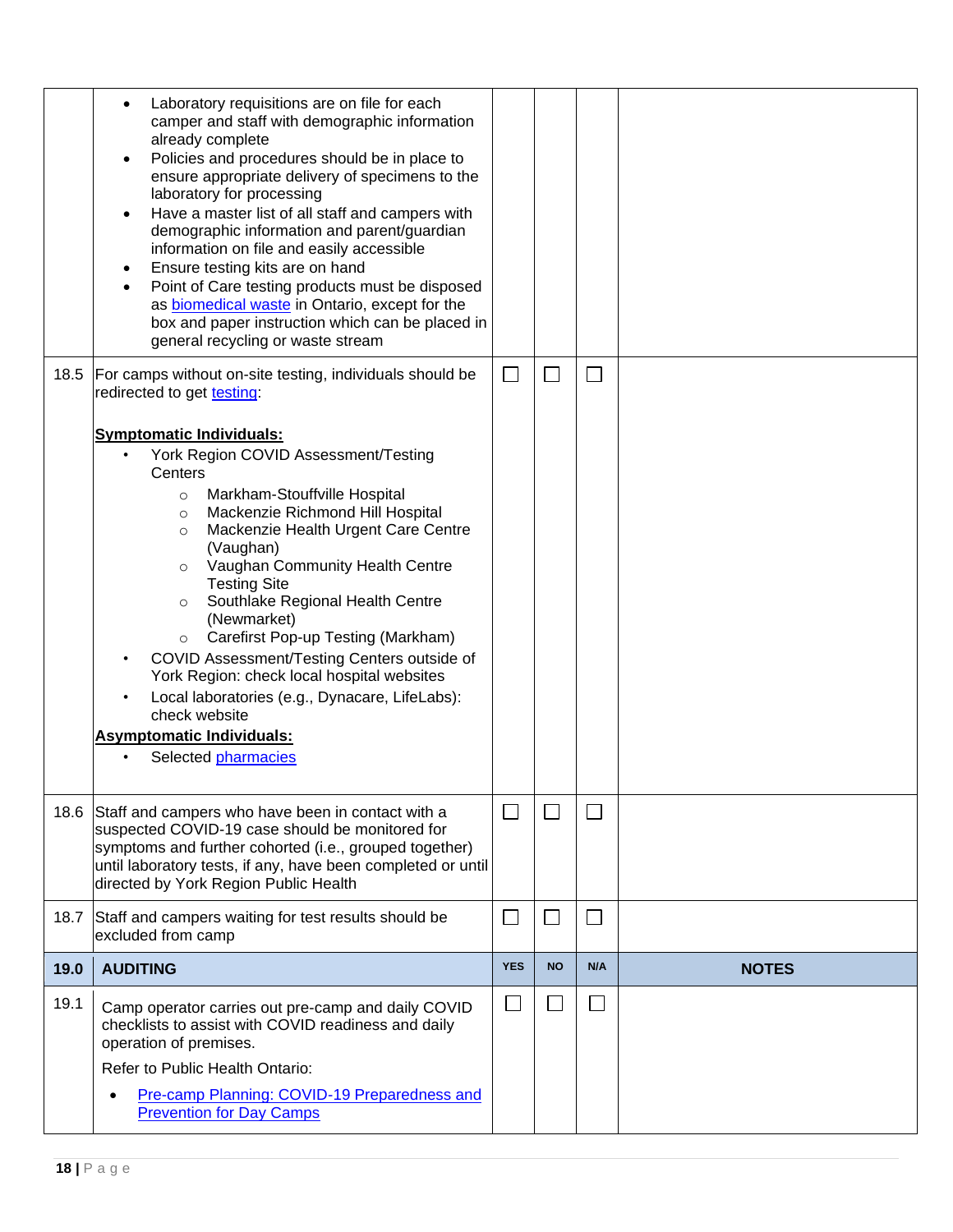| 18.5 | Laboratory requisitions are on file for each<br>camper and staff with demographic information<br>already complete<br>Policies and procedures should be in place to<br>ensure appropriate delivery of specimens to the<br>laboratory for processing<br>Have a master list of all staff and campers with<br>demographic information and parent/guardian<br>information on file and easily accessible<br>Ensure testing kits are on hand<br>Point of Care testing products must be disposed<br>as <b>biomedical waste</b> in Ontario, except for the<br>box and paper instruction which can be placed in<br>general recycling or waste stream<br>For camps without on-site testing, individuals should be<br>redirected to get testing:<br><b>Symptomatic Individuals:</b><br>York Region COVID Assessment/Testing<br>Centers<br>Markham-Stouffville Hospital<br>$\circ$<br>Mackenzie Richmond Hill Hospital<br>$\circ$<br>Mackenzie Health Urgent Care Centre<br>$\circ$<br>(Vaughan)<br>Vaughan Community Health Centre<br>$\circ$<br><b>Testing Site</b><br>Southlake Regional Health Centre<br>(Newmarket)<br>Carefirst Pop-up Testing (Markham)<br>$\circ$<br>COVID Assessment/Testing Centers outside of<br>York Region: check local hospital websites<br>Local laboratories (e.g., Dynacare, LifeLabs):<br>check website<br><b>Asymptomatic Individuals:</b><br>Selected pharmacies | $\Box$     | L         |        |              |
|------|-----------------------------------------------------------------------------------------------------------------------------------------------------------------------------------------------------------------------------------------------------------------------------------------------------------------------------------------------------------------------------------------------------------------------------------------------------------------------------------------------------------------------------------------------------------------------------------------------------------------------------------------------------------------------------------------------------------------------------------------------------------------------------------------------------------------------------------------------------------------------------------------------------------------------------------------------------------------------------------------------------------------------------------------------------------------------------------------------------------------------------------------------------------------------------------------------------------------------------------------------------------------------------------------------------------------------------------------------------------------------------------------|------------|-----------|--------|--------------|
|      | 18.6 Staff and campers who have been in contact with a<br>suspected COVID-19 case should be monitored for<br>symptoms and further cohorted (i.e., grouped together)<br>until laboratory tests, if any, have been completed or until<br>directed by York Region Public Health                                                                                                                                                                                                                                                                                                                                                                                                                                                                                                                                                                                                                                                                                                                                                                                                                                                                                                                                                                                                                                                                                                            | $\Box$     | $\sim$    |        |              |
| 18.7 | Staff and campers waiting for test results should be<br>excluded from camp                                                                                                                                                                                                                                                                                                                                                                                                                                                                                                                                                                                                                                                                                                                                                                                                                                                                                                                                                                                                                                                                                                                                                                                                                                                                                                              | $\Box$     | $\Box$    | $\Box$ |              |
| 19.0 | <b>AUDITING</b>                                                                                                                                                                                                                                                                                                                                                                                                                                                                                                                                                                                                                                                                                                                                                                                                                                                                                                                                                                                                                                                                                                                                                                                                                                                                                                                                                                         | <b>YES</b> | <b>NO</b> | N/A    | <b>NOTES</b> |
| 19.1 | Camp operator carries out pre-camp and daily COVID<br>checklists to assist with COVID readiness and daily<br>operation of premises.<br>Refer to Public Health Ontario:<br>Pre-camp Planning: COVID-19 Preparedness and<br><b>Prevention for Day Camps</b>                                                                                                                                                                                                                                                                                                                                                                                                                                                                                                                                                                                                                                                                                                                                                                                                                                                                                                                                                                                                                                                                                                                               | $\sim$     |           | $\sim$ |              |
|      |                                                                                                                                                                                                                                                                                                                                                                                                                                                                                                                                                                                                                                                                                                                                                                                                                                                                                                                                                                                                                                                                                                                                                                                                                                                                                                                                                                                         |            |           |        |              |